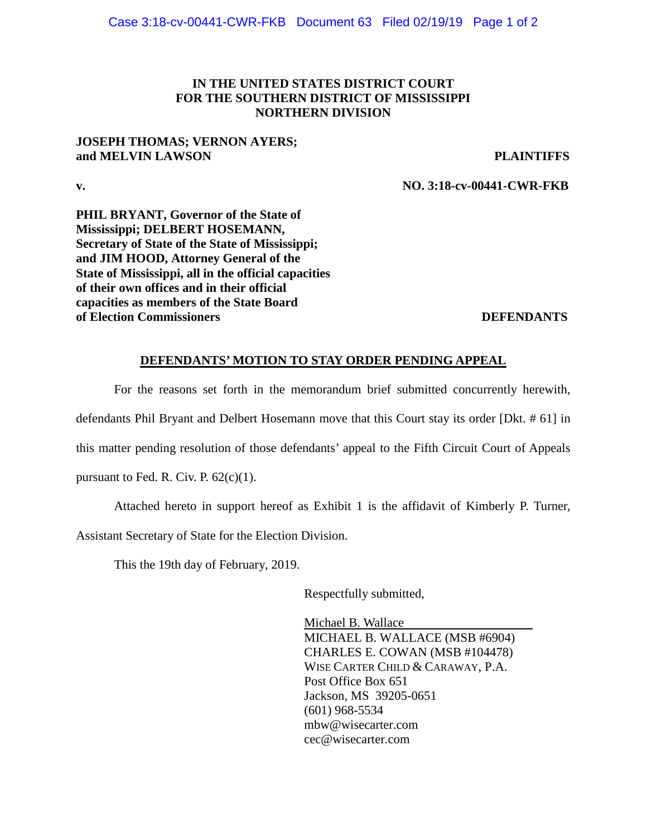# **IN THE UNITED STATES DISTRICT COURT FOR THE SOUTHERN DISTRICT OF MISSISSIPPI NORTHERN DIVISION**

## **JOSEPH THOMAS; VERNON AYERS; and MELVIN LAWSON PLAINTIFFS**

**v. NO. 3:18-cv-00441-CWR-FKB**

**PHIL BRYANT, Governor of the State of Mississippi; DELBERT HOSEMANN, Secretary of State of the State of Mississippi; and JIM HOOD, Attorney General of the State of Mississippi, all in the official capacities of their own offices and in their official capacities as members of the State Board of Election Commissioners** and the commissioners of the commissioners and the commissioners of the commissioners of the commissioners of the commissioners of the commissioners of the commissioners of the commissioners of

# **DEFENDANTS' MOTION TO STAY ORDER PENDING APPEAL**

For the reasons set forth in the memorandum brief submitted concurrently herewith, defendants Phil Bryant and Delbert Hosemann move that this Court stay its order [Dkt. # 61] in

this matter pending resolution of those defendants' appeal to the Fifth Circuit Court of Appeals

pursuant to Fed. R. Civ. P.  $62(c)(1)$ .

Attached hereto in support hereof as Exhibit 1 is the affidavit of Kimberly P. Turner,

Assistant Secretary of State for the Election Division.

This the 19th day of February, 2019.

Respectfully submitted,

Michael B. Wallace MICHAEL B. WALLACE (MSB #6904) CHARLES E. COWAN (MSB #104478) WISE CARTER CHILD & CARAWAY, P.A. Post Office Box 651 Jackson, MS 39205-0651 (601) 968-5534 [mbw@wisecarter.com](mailto:mbw@wisecarter.com) cec@wisecarter.com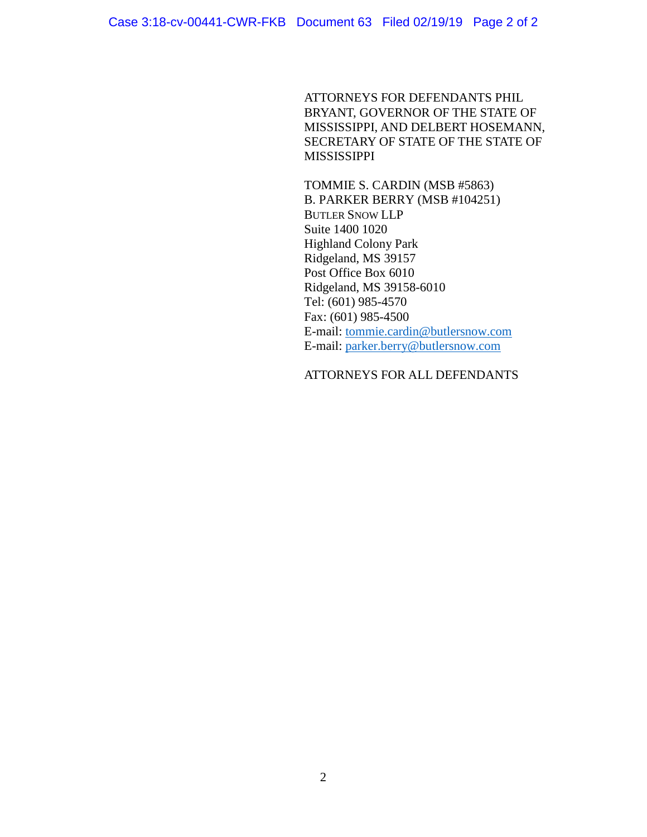ATTORNEYS FOR DEFENDANTS PHIL BRYANT, GOVERNOR OF THE STATE OF MISSISSIPPI, AND DELBERT HOSEMANN, SECRETARY OF STATE OF THE STATE OF MISSISSIPPI

TOMMIE S. CARDIN (MSB #5863) B. PARKER BERRY (MSB #104251) BUTLER SNOW LLP Suite 1400 1020 Highland Colony Park Ridgeland, MS 39157 Post Office Box 6010 Ridgeland, MS 39158-6010 Tel: (601) 985-4570 Fax: (601) 985-4500 E-mail: [tommie.cardin@butlersnow.com](mailto:tommie.cardin@butlersnow.com) E-mail: [parker.berry@butlersnow.com](mailto:parker.berry@butlersnow.com)

# ATTORNEYS FOR ALL DEFENDANTS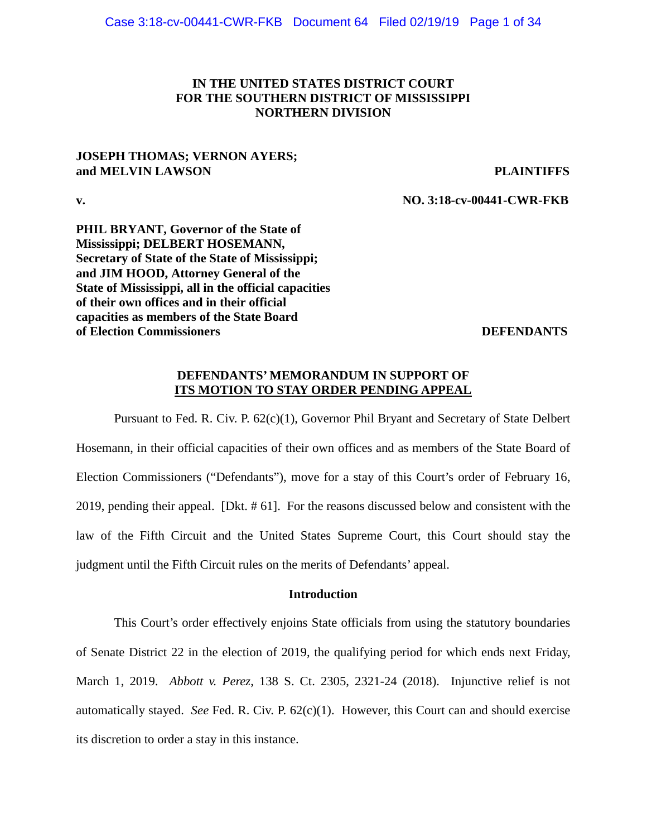## **IN THE UNITED STATES DISTRICT COURT FOR THE SOUTHERN DISTRICT OF MISSISSIPPI NORTHERN DIVISION**

## **JOSEPH THOMAS; VERNON AYERS; and MELVIN LAWSON PLAINTIFFS**

**v. NO. 3:18-cv-00441-CWR-FKB**

**PHIL BRYANT, Governor of the State of Mississippi; DELBERT HOSEMANN, Secretary of State of the State of Mississippi; and JIM HOOD, Attorney General of the State of Mississippi, all in the official capacities of their own offices and in their official capacities as members of the State Board of Election Commissioners** DEFENDANTS

### **DEFENDANTS' MEMORANDUM IN SUPPORT OF ITS MOTION TO STAY ORDER PENDING APPEAL**

Pursuant to Fed. R. Civ. P. 62(c)(1), Governor Phil Bryant and Secretary of State Delbert Hosemann, in their official capacities of their own offices and as members of the State Board of Election Commissioners ("Defendants"), move for a stay of this Court's order of February 16, 2019, pending their appeal. [Dkt. # 61]. For the reasons discussed below and consistent with the law of the Fifth Circuit and the United States Supreme Court, this Court should stay the judgment until the Fifth Circuit rules on the merits of Defendants' appeal.

## **Introduction**

This Court's order effectively enjoins State officials from using the statutory boundaries of Senate District 22 in the election of 2019, the qualifying period for which ends next Friday, March 1, 2019. *Abbott v. Perez*, 138 S. Ct. 2305, 2321-24 (2018). Injunctive relief is not automatically stayed. *See* Fed. R. Civ. P. 62(c)(1). However, this Court can and should exercise its discretion to order a stay in this instance.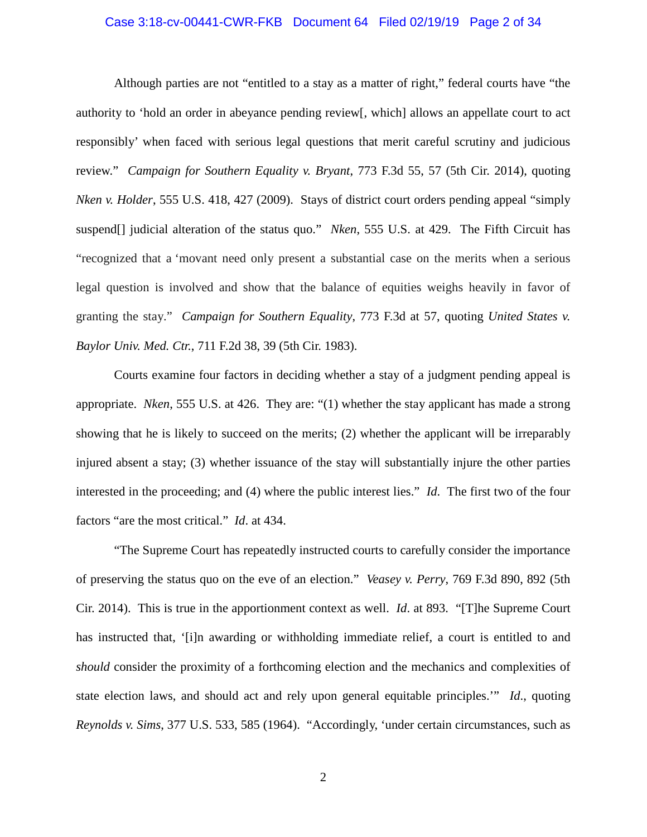#### Case 3:18-cv-00441-CWR-FKB Document 64 Filed 02/19/19 Page 2 of 34

Although parties are not "entitled to a stay as a matter of right," federal courts have "the authority to 'hold an order in abeyance pending review[, which] allows an appellate court to act responsibly' when faced with serious legal questions that merit careful scrutiny and judicious review." *Campaign for Southern Equality v. Bryant*, 773 F.3d 55, 57 (5th Cir. 2014), quoting *Nken v. Holder*, 555 U.S. 418, 427 (2009). Stays of district court orders pending appeal "simply suspend[] judicial alteration of the status quo." *Nken*, 555 U.S. at 429. The Fifth Circuit has "recognized that a 'movant need only present a substantial case on the merits when a serious legal question is involved and show that the balance of equities weighs heavily in favor of granting the stay." *Campaign for Southern Equality*, 773 F.3d at 57, quoting *United States v. Baylor Univ. Med. Ctr.*, 711 F.2d 38, 39 (5th Cir. 1983).

Courts examine four factors in deciding whether a stay of a judgment pending appeal is appropriate. *Nken*, 555 U.S. at 426. They are: "(1) whether the stay applicant has made a strong showing that he is likely to succeed on the merits; (2) whether the applicant will be irreparably injured absent a stay; (3) whether issuance of the stay will substantially injure the other parties interested in the proceeding; and (4) where the public interest lies." *Id*. The first two of the four factors "are the most critical." *Id*. at 434.

"The Supreme Court has repeatedly instructed courts to carefully consider the importance of preserving the status quo on the eve of an election." *Veasey v. Perry*, 769 F.3d 890, 892 (5th Cir. 2014). This is true in the apportionment context as well. *Id*. at 893. "[T]he Supreme Court has instructed that, '[i]n awarding or withholding immediate relief, a court is entitled to and *should* consider the proximity of a forthcoming election and the mechanics and complexities of state election laws, and should act and rely upon general equitable principles.'" *Id*., quoting *Reynolds v. Sims*, 377 U.S. 533, 585 (1964). "Accordingly, 'under certain circumstances, such as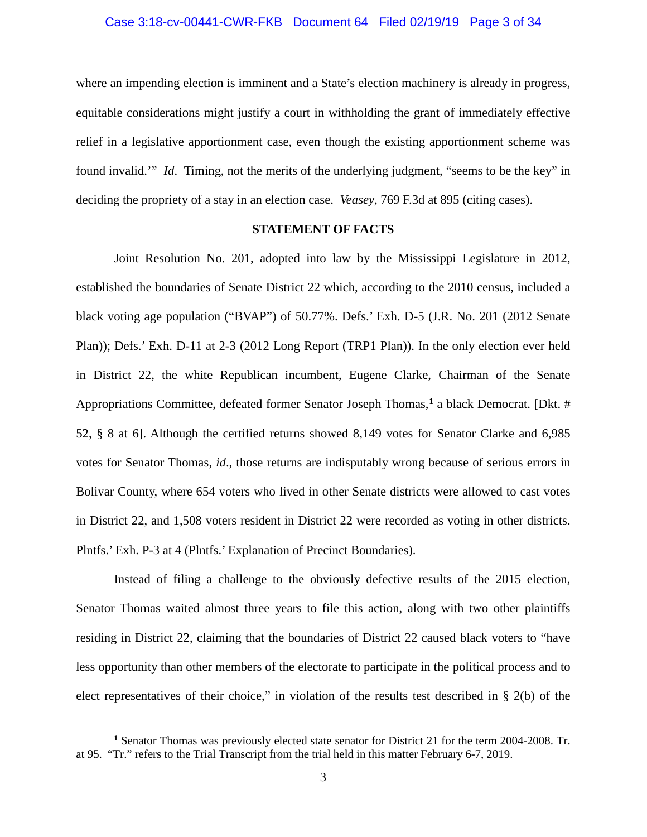#### Case 3:18-cv-00441-CWR-FKB Document 64 Filed 02/19/19 Page 3 of 34

where an impending election is imminent and a State's election machinery is already in progress, equitable considerations might justify a court in withholding the grant of immediately effective relief in a legislative apportionment case, even though the existing apportionment scheme was found invalid.'" *Id*. Timing, not the merits of the underlying judgment, "seems to be the key" in deciding the propriety of a stay in an election case. *Veasey*, 769 F.3d at 895 (citing cases).

## **STATEMENT OF FACTS**

Joint Resolution No. 201, adopted into law by the Mississippi Legislature in 2012, established the boundaries of Senate District 22 which, according to the 2010 census, included a black voting age population ("BVAP") of 50.77%. Defs.' Exh. D-5 (J.R. No. 201 (2012 Senate Plan)); Defs.' Exh. D-11 at 2-3 (2012 Long Report (TRP1 Plan)). In the only election ever held in District 22, the white Republican incumbent, Eugene Clarke, Chairman of the Senate Appropriations Committee, defeated former Senator Joseph Thomas, **[1](#page-4-0)** a black Democrat. [Dkt. # 52, § 8 at 6]. Although the certified returns showed 8,149 votes for Senator Clarke and 6,985 votes for Senator Thomas, *id*., those returns are indisputably wrong because of serious errors in Bolivar County, where 654 voters who lived in other Senate districts were allowed to cast votes in District 22, and 1,508 voters resident in District 22 were recorded as voting in other districts. Plntfs.' Exh. P-3 at 4 (Plntfs.' Explanation of Precinct Boundaries).

Instead of filing a challenge to the obviously defective results of the 2015 election, Senator Thomas waited almost three years to file this action, along with two other plaintiffs residing in District 22, claiming that the boundaries of District 22 caused black voters to "have less opportunity than other members of the electorate to participate in the political process and to elect representatives of their choice," in violation of the results test described in § 2(b) of the

<span id="page-4-0"></span>**<sup>1</sup>** Senator Thomas was previously elected state senator for District 21 for the term 2004-2008. Tr. at 95. "Tr." refers to the Trial Transcript from the trial held in this matter February 6-7, 2019.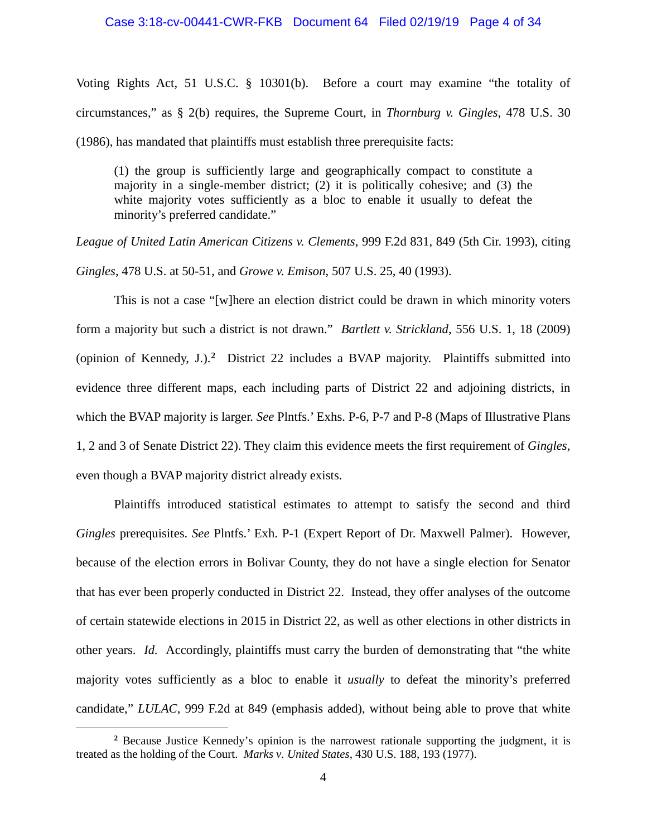#### Case 3:18-cv-00441-CWR-FKB Document 64 Filed 02/19/19 Page 4 of 34

Voting Rights Act, 51 U.S.C. § 10301(b). Before a court may examine "the totality of circumstances," as § 2(b) requires, the Supreme Court, in *Thornburg v. Gingles*, 478 U.S. 30 (1986), has mandated that plaintiffs must establish three prerequisite facts:

(1) the group is sufficiently large and geographically compact to constitute a majority in a single-member district; (2) it is politically cohesive; and (3) the white majority votes sufficiently as a bloc to enable it usually to defeat the minority's preferred candidate."

*League of United Latin American Citizens v. Clements*, 999 F.2d 831, 849 (5th Cir. 1993), citing *Gingles*, 478 U.S. at 50-51, and *Growe v. Emison*, 507 U.S. 25, 40 (1993).

This is not a case "[w]here an election district could be drawn in which minority voters form a majority but such a district is not drawn." *Bartlett v. Strickland*, 556 U.S. 1, 18 (2009) (opinion of Kennedy, J.).**[2](#page-5-0)** District 22 includes a BVAP majority. Plaintiffs submitted into evidence three different maps, each including parts of District 22 and adjoining districts, in which the BVAP majority is larger. *See* Plntfs.' Exhs. P-6, P-7 and P-8 (Maps of Illustrative Plans 1, 2 and 3 of Senate District 22). They claim this evidence meets the first requirement of *Gingles*, even though a BVAP majority district already exists.

Plaintiffs introduced statistical estimates to attempt to satisfy the second and third *Gingles* prerequisites. *See* Plntfs.' Exh. P-1 (Expert Report of Dr. Maxwell Palmer). However, because of the election errors in Bolivar County, they do not have a single election for Senator that has ever been properly conducted in District 22. Instead, they offer analyses of the outcome of certain statewide elections in 2015 in District 22, as well as other elections in other districts in other years. *Id.* Accordingly, plaintiffs must carry the burden of demonstrating that "the white majority votes sufficiently as a bloc to enable it *usually* to defeat the minority's preferred candidate," *LULAC*, 999 F.2d at 849 (emphasis added), without being able to prove that white

<span id="page-5-0"></span>**<sup>2</sup>** Because Justice Kennedy's opinion is the narrowest rationale supporting the judgment, it is treated as the holding of the Court. *Marks v. United States*, 430 U.S. 188, 193 (1977).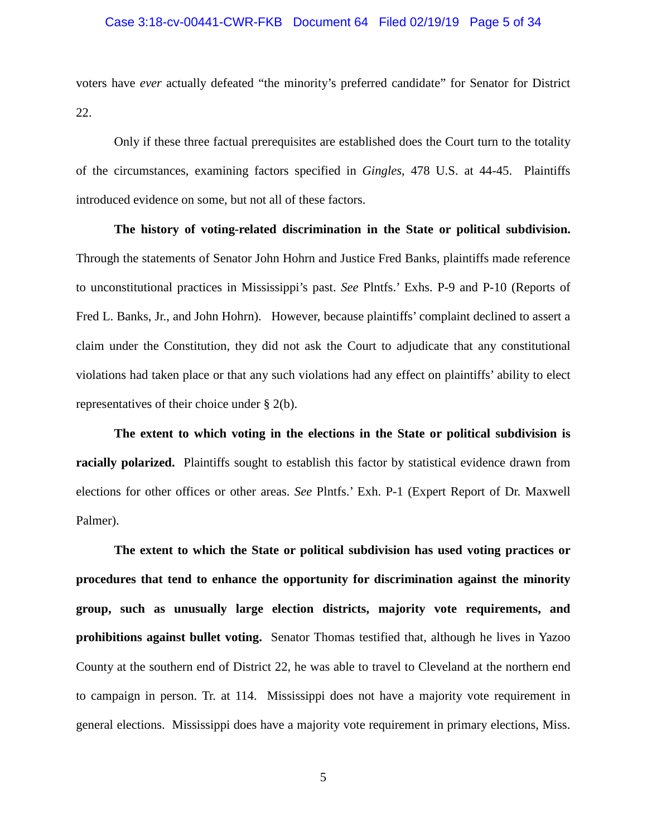#### Case 3:18-cv-00441-CWR-FKB Document 64 Filed 02/19/19 Page 5 of 34

voters have *ever* actually defeated "the minority's preferred candidate" for Senator for District 22.

Only if these three factual prerequisites are established does the Court turn to the totality of the circumstances, examining factors specified in *Gingles*, 478 U.S. at 44-45. Plaintiffs introduced evidence on some, but not all of these factors.

**The history of voting-related discrimination in the State or political subdivision.** Through the statements of Senator John Hohrn and Justice Fred Banks, plaintiffs made reference to unconstitutional practices in Mississippi's past. *See* Plntfs.' Exhs. P-9 and P-10 (Reports of Fred L. Banks, Jr., and John Hohrn). However, because plaintiffs' complaint declined to assert a claim under the Constitution, they did not ask the Court to adjudicate that any constitutional violations had taken place or that any such violations had any effect on plaintiffs' ability to elect representatives of their choice under § 2(b).

**The extent to which voting in the elections in the State or political subdivision is racially polarized.** Plaintiffs sought to establish this factor by statistical evidence drawn from elections for other offices or other areas. *See* Plntfs.' Exh. P-1 (Expert Report of Dr. Maxwell Palmer).

**The extent to which the State or political subdivision has used voting practices or procedures that tend to enhance the opportunity for discrimination against the minority group, such as unusually large election districts, majority vote requirements, and prohibitions against bullet voting.** Senator Thomas testified that, although he lives in Yazoo County at the southern end of District 22, he was able to travel to Cleveland at the northern end to campaign in person. Tr. at 114. Mississippi does not have a majority vote requirement in general elections. Mississippi does have a majority vote requirement in primary elections, Miss.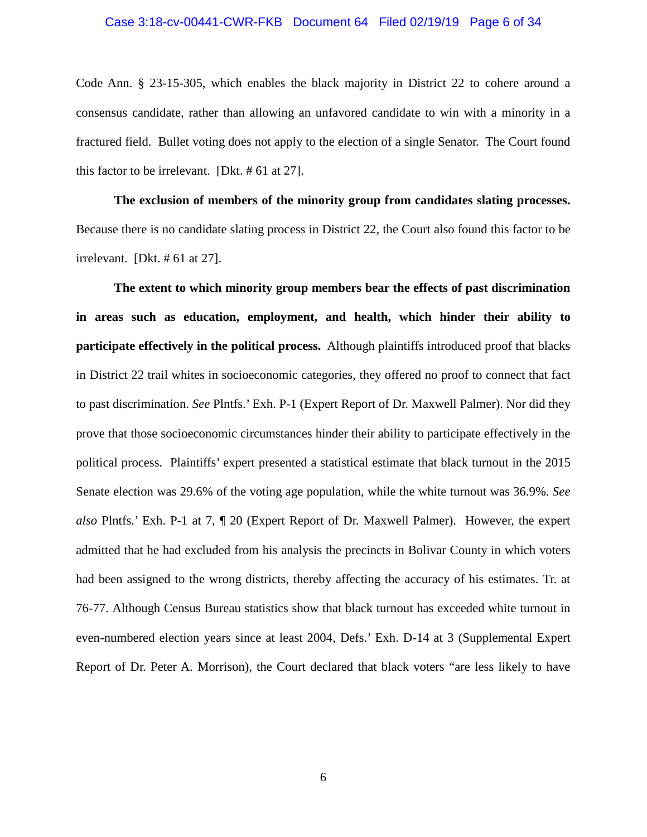#### Case 3:18-cv-00441-CWR-FKB Document 64 Filed 02/19/19 Page 6 of 34

Code Ann. § 23-15-305, which enables the black majority in District 22 to cohere around a consensus candidate, rather than allowing an unfavored candidate to win with a minority in a fractured field. Bullet voting does not apply to the election of a single Senator. The Court found this factor to be irrelevant. [Dkt. # 61 at 27].

**The exclusion of members of the minority group from candidates slating processes.** Because there is no candidate slating process in District 22, the Court also found this factor to be irrelevant. [Dkt. # 61 at 27].

**The extent to which minority group members bear the effects of past discrimination in areas such as education, employment, and health, which hinder their ability to participate effectively in the political process.** Although plaintiffs introduced proof that blacks in District 22 trail whites in socioeconomic categories, they offered no proof to connect that fact to past discrimination. *See* Plntfs.' Exh. P-1 (Expert Report of Dr. Maxwell Palmer). Nor did they prove that those socioeconomic circumstances hinder their ability to participate effectively in the political process. Plaintiffs' expert presented a statistical estimate that black turnout in the 2015 Senate election was 29.6% of the voting age population, while the white turnout was 36.9%. *See also* Plntfs.' Exh. P-1 at 7, ¶ 20 (Expert Report of Dr. Maxwell Palmer). However, the expert admitted that he had excluded from his analysis the precincts in Bolivar County in which voters had been assigned to the wrong districts, thereby affecting the accuracy of his estimates. Tr. at 76-77. Although Census Bureau statistics show that black turnout has exceeded white turnout in even-numbered election years since at least 2004, Defs.' Exh. D-14 at 3 (Supplemental Expert Report of Dr. Peter A. Morrison), the Court declared that black voters "are less likely to have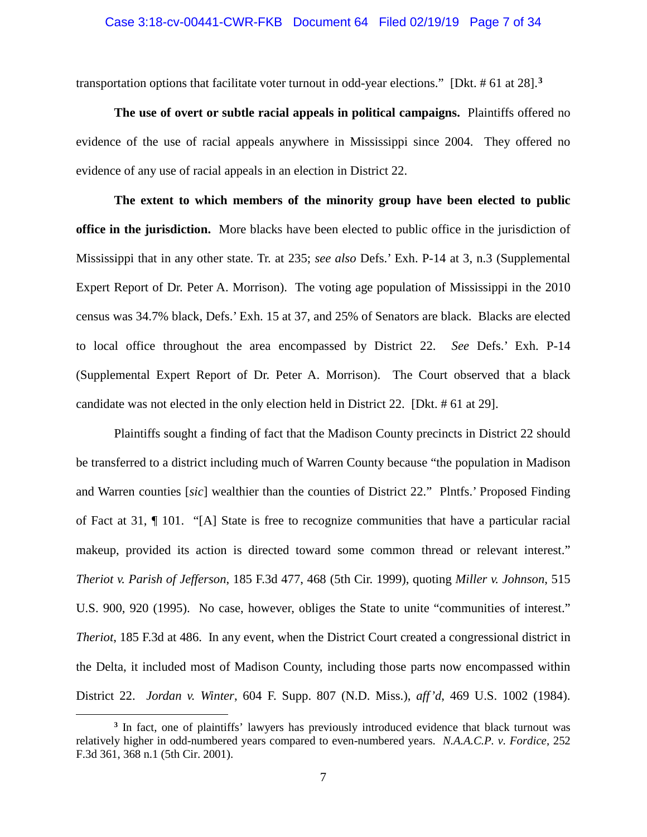#### Case 3:18-cv-00441-CWR-FKB Document 64 Filed 02/19/19 Page 7 of 34

transportation options that facilitate voter turnout in odd-year elections." [Dkt. # 61 at 28].**[3](#page-8-0)**

**The use of overt or subtle racial appeals in political campaigns.** Plaintiffs offered no evidence of the use of racial appeals anywhere in Mississippi since 2004. They offered no evidence of any use of racial appeals in an election in District 22.

**The extent to which members of the minority group have been elected to public office in the jurisdiction.** More blacks have been elected to public office in the jurisdiction of Mississippi that in any other state. Tr. at 235; *see also* Defs.' Exh. P-14 at 3, n.3 (Supplemental Expert Report of Dr. Peter A. Morrison). The voting age population of Mississippi in the 2010 census was 34.7% black, Defs.' Exh. 15 at 37, and 25% of Senators are black. Blacks are elected to local office throughout the area encompassed by District 22. *See* Defs.' Exh. P-14 (Supplemental Expert Report of Dr. Peter A. Morrison). The Court observed that a black candidate was not elected in the only election held in District 22. [Dkt. # 61 at 29].

Plaintiffs sought a finding of fact that the Madison County precincts in District 22 should be transferred to a district including much of Warren County because "the population in Madison and Warren counties [*sic*] wealthier than the counties of District 22." Plntfs.' Proposed Finding of Fact at 31, ¶ 101. "[A] State is free to recognize communities that have a particular racial makeup, provided its action is directed toward some common thread or relevant interest." *Theriot v. Parish of Jefferson*, 185 F.3d 477, 468 (5th Cir. 1999), quoting *Miller v. Johnson*, 515 U.S. 900, 920 (1995). No case, however, obliges the State to unite "communities of interest." *Theriot*, 185 F.3d at 486. In any event, when the District Court created a congressional district in the Delta, it included most of Madison County, including those parts now encompassed within District 22. *Jordan v. Winter*, 604 F. Supp. 807 (N.D. Miss.), *aff'd*, 469 U.S. 1002 (1984).

<span id="page-8-0"></span>**<sup>3</sup>** In fact, one of plaintiffs' lawyers has previously introduced evidence that black turnout was relatively higher in odd-numbered years compared to even-numbered years. *N.A.A.C.P. v. Fordice*, 252 F.3d 361, 368 n.1 (5th Cir. 2001).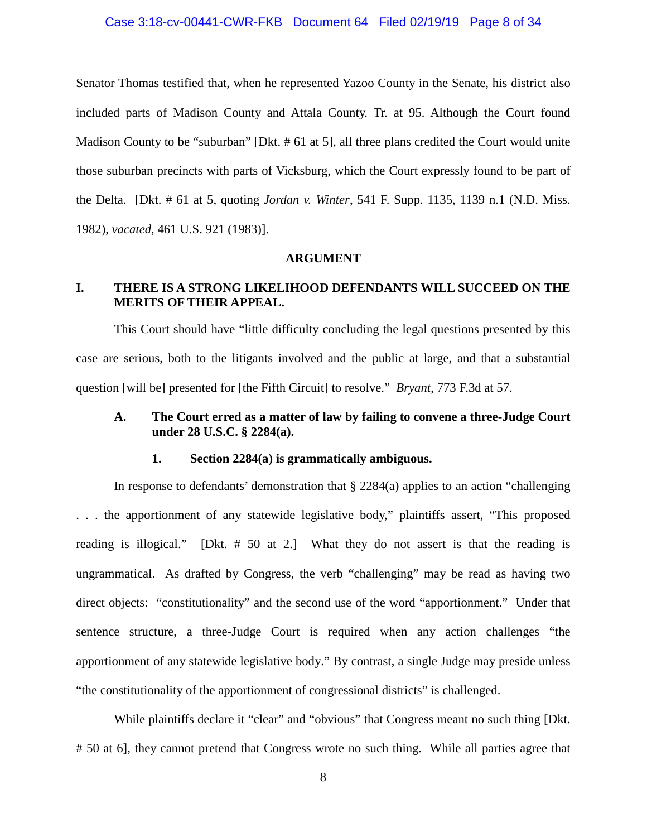# Case 3:18-cv-00441-CWR-FKB Document 64 Filed 02/19/19 Page 8 of 34

Senator Thomas testified that, when he represented Yazoo County in the Senate, his district also included parts of Madison County and Attala County. Tr. at 95. Although the Court found Madison County to be "suburban" [Dkt. # 61 at 5], all three plans credited the Court would unite those suburban precincts with parts of Vicksburg, which the Court expressly found to be part of the Delta. [Dkt. # 61 at 5, quoting *Jordan v. Winter*, 541 F. Supp. 1135, 1139 n.1 (N.D. Miss. 1982), *vacated*, 461 U.S. 921 (1983)].

#### **ARGUMENT**

# **I. THERE IS A STRONG LIKELIHOOD DEFENDANTS WILL SUCCEED ON THE MERITS OF THEIR APPEAL.**

This Court should have "little difficulty concluding the legal questions presented by this case are serious, both to the litigants involved and the public at large, and that a substantial question [will be] presented for [the Fifth Circuit] to resolve." *Bryant*, 773 F.3d at 57.

## **A. The Court erred as a matter of law by failing to convene a three-Judge Court under 28 U.S.C. § 2284(a).**

#### **1. Section 2284(a) is grammatically ambiguous.**

In response to defendants' demonstration that  $\S 2284(a)$  applies to an action "challenging" . . . the apportionment of any statewide legislative body," plaintiffs assert, "This proposed reading is illogical." [Dkt. # 50 at 2.] What they do not assert is that the reading is ungrammatical. As drafted by Congress, the verb "challenging" may be read as having two direct objects: "constitutionality" and the second use of the word "apportionment." Under that sentence structure, a three-Judge Court is required when any action challenges "the apportionment of any statewide legislative body." By contrast, a single Judge may preside unless "the constitutionality of the apportionment of congressional districts" is challenged.

While plaintiffs declare it "clear" and "obvious" that Congress meant no such thing [Dkt. # 50 at 6], they cannot pretend that Congress wrote no such thing. While all parties agree that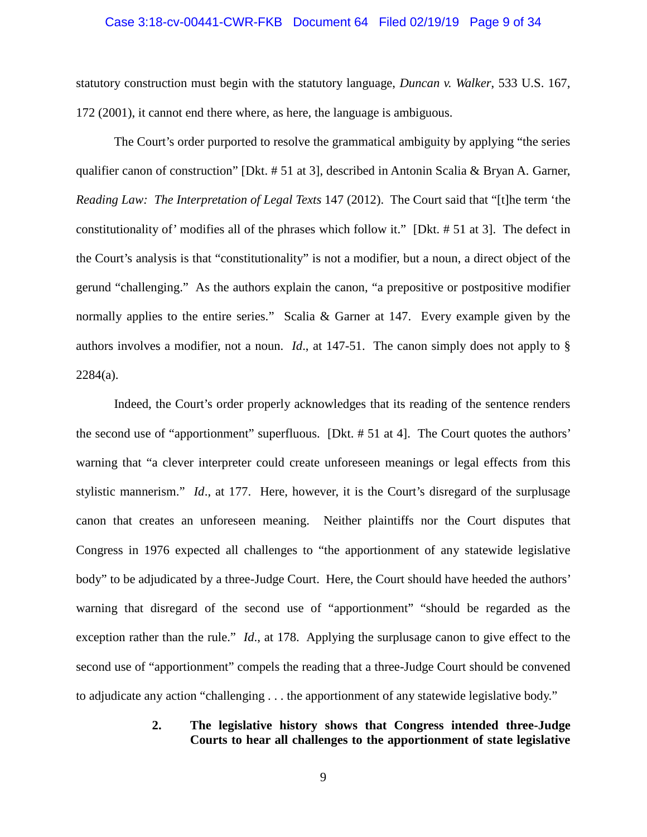#### Case 3:18-cv-00441-CWR-FKB Document 64 Filed 02/19/19 Page 9 of 34

statutory construction must begin with the statutory language, *Duncan v. Walker*, 533 U.S. 167, 172 (2001), it cannot end there where, as here, the language is ambiguous.

The Court's order purported to resolve the grammatical ambiguity by applying "the series qualifier canon of construction" [Dkt. # 51 at 3], described in Antonin Scalia & Bryan A. Garner, *Reading Law: The Interpretation of Legal Texts* 147 (2012). The Court said that "[t]he term 'the constitutionality of' modifies all of the phrases which follow it." [Dkt. # 51 at 3]. The defect in the Court's analysis is that "constitutionality" is not a modifier, but a noun, a direct object of the gerund "challenging." As the authors explain the canon, "a prepositive or postpositive modifier normally applies to the entire series." Scalia & Garner at 147. Every example given by the authors involves a modifier, not a noun. *Id*., at 147-51. The canon simply does not apply to § 2284(a).

Indeed, the Court's order properly acknowledges that its reading of the sentence renders the second use of "apportionment" superfluous. [Dkt. # 51 at 4]. The Court quotes the authors' warning that "a clever interpreter could create unforeseen meanings or legal effects from this stylistic mannerism." *Id*., at 177. Here, however, it is the Court's disregard of the surplusage canon that creates an unforeseen meaning. Neither plaintiffs nor the Court disputes that Congress in 1976 expected all challenges to "the apportionment of any statewide legislative body" to be adjudicated by a three-Judge Court. Here, the Court should have heeded the authors' warning that disregard of the second use of "apportionment" "should be regarded as the exception rather than the rule." *Id*., at 178. Applying the surplusage canon to give effect to the second use of "apportionment" compels the reading that a three-Judge Court should be convened to adjudicate any action "challenging . . . the apportionment of any statewide legislative body."

## **2. The legislative history shows that Congress intended three-Judge Courts to hear all challenges to the apportionment of state legislative**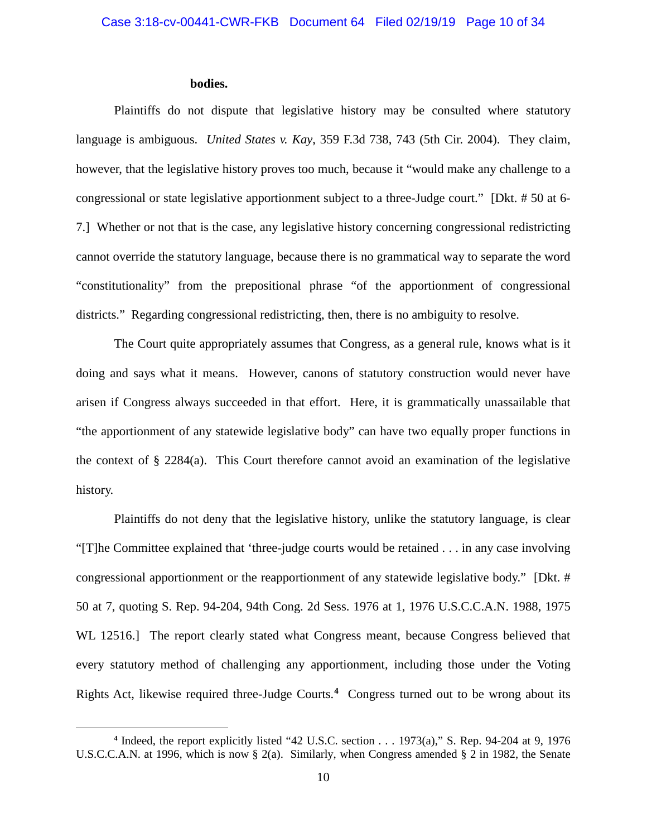## **bodies.**

Plaintiffs do not dispute that legislative history may be consulted where statutory language is ambiguous. *United States v. Kay*, 359 F.3d 738, 743 (5th Cir. 2004). They claim, however, that the legislative history proves too much, because it "would make any challenge to a congressional or state legislative apportionment subject to a three-Judge court." [Dkt. # 50 at 6- 7.] Whether or not that is the case, any legislative history concerning congressional redistricting cannot override the statutory language, because there is no grammatical way to separate the word "constitutionality" from the prepositional phrase "of the apportionment of congressional districts." Regarding congressional redistricting, then, there is no ambiguity to resolve.

The Court quite appropriately assumes that Congress, as a general rule, knows what is it doing and says what it means. However, canons of statutory construction would never have arisen if Congress always succeeded in that effort. Here, it is grammatically unassailable that "the apportionment of any statewide legislative body" can have two equally proper functions in the context of § 2284(a). This Court therefore cannot avoid an examination of the legislative history.

Plaintiffs do not deny that the legislative history, unlike the statutory language, is clear "[T]he Committee explained that 'three-judge courts would be retained . . . in any case involving congressional apportionment or the reapportionment of any statewide legislative body." [Dkt. # 50 at 7, quoting S. Rep. 94-204, 94th Cong. 2d Sess. 1976 at 1, 1976 U.S.C.C.A.N. 1988, 1975 WL 12516.] The report clearly stated what Congress meant, because Congress believed that every statutory method of challenging any apportionment, including those under the Voting Rights Act, likewise required three-Judge Courts.**[4](#page-11-0)** Congress turned out to be wrong about its

<span id="page-11-0"></span>**<sup>4</sup>** Indeed, the report explicitly listed "42 U.S.C. section . . . 1973(a)," S. Rep. 94-204 at 9, 1976 U.S.C.C.A.N. at 1996, which is now § 2(a). Similarly, when Congress amended § 2 in 1982, the Senate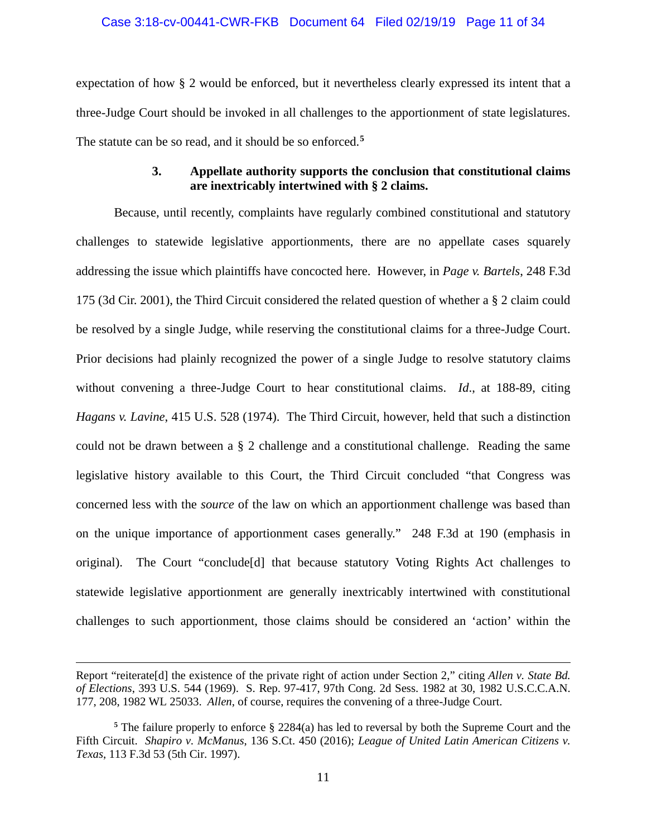### Case 3:18-cv-00441-CWR-FKB Document 64 Filed 02/19/19 Page 11 of 34

expectation of how § 2 would be enforced, but it nevertheless clearly expressed its intent that a three-Judge Court should be invoked in all challenges to the apportionment of state legislatures. The statute can be so read, and it should be so enforced.**[5](#page-12-0)**

## **3. Appellate authority supports the conclusion that constitutional claims are inextricably intertwined with § 2 claims.**

Because, until recently, complaints have regularly combined constitutional and statutory challenges to statewide legislative apportionments, there are no appellate cases squarely addressing the issue which plaintiffs have concocted here. However, in *Page v. Bartels*, 248 F.3d 175 (3d Cir. 2001), the Third Circuit considered the related question of whether a § 2 claim could be resolved by a single Judge, while reserving the constitutional claims for a three-Judge Court. Prior decisions had plainly recognized the power of a single Judge to resolve statutory claims without convening a three-Judge Court to hear constitutional claims. *Id*., at 188-89, citing *Hagans v. Lavine*, 415 U.S. 528 (1974). The Third Circuit, however, held that such a distinction could not be drawn between a § 2 challenge and a constitutional challenge. Reading the same legislative history available to this Court, the Third Circuit concluded "that Congress was concerned less with the *source* of the law on which an apportionment challenge was based than on the unique importance of apportionment cases generally." 248 F.3d at 190 (emphasis in original). The Court "conclude[d] that because statutory Voting Rights Act challenges to statewide legislative apportionment are generally inextricably intertwined with constitutional challenges to such apportionment, those claims should be considered an 'action' within the

Report "reiterate[d] the existence of the private right of action under Section 2," citing *Allen v. State Bd. of Elections*, 393 U.S. 544 (1969). S. Rep. 97-417, 97th Cong. 2d Sess. 1982 at 30, 1982 U.S.C.C.A.N. 177, 208, 1982 WL 25033. *Allen*, of course, requires the convening of a three-Judge Court.

<span id="page-12-0"></span>**<sup>5</sup>** The failure properly to enforce § 2284(a) has led to reversal by both the Supreme Court and the Fifth Circuit. *Shapiro v. McManus*, 136 S.Ct. 450 (2016); *League of United Latin American Citizens v. Texas*, 113 F.3d 53 (5th Cir. 1997).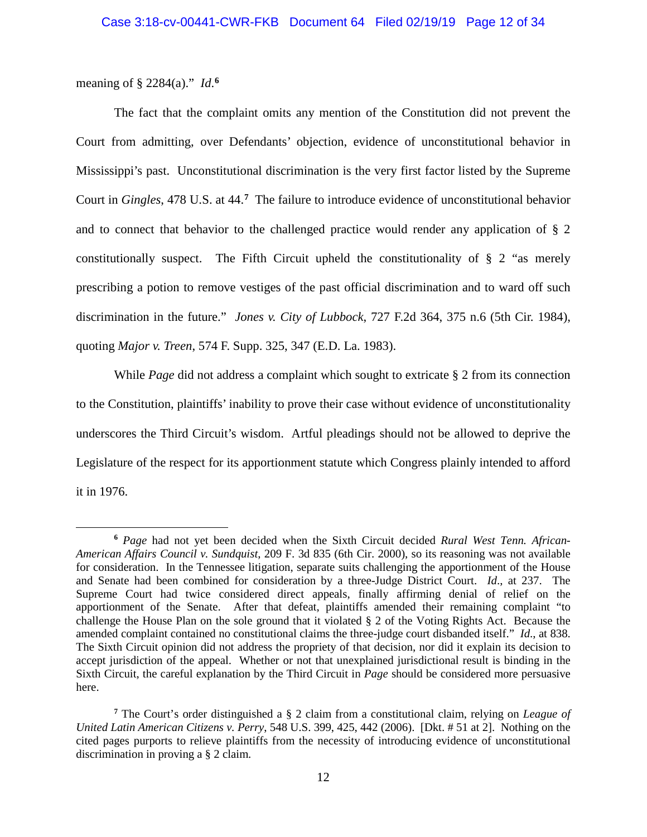meaning of § 2284(a)." *Id*.<sup>[6](#page-13-0)</sup>

 $\overline{a}$ 

The fact that the complaint omits any mention of the Constitution did not prevent the Court from admitting, over Defendants' objection, evidence of unconstitutional behavior in Mississippi's past. Unconstitutional discrimination is the very first factor listed by the Supreme Court in *Gingles*, 478 U.S. at 44.**[7](#page-13-1)** The failure to introduce evidence of unconstitutional behavior and to connect that behavior to the challenged practice would render any application of § 2 constitutionally suspect. The Fifth Circuit upheld the constitutionality of § 2 "as merely prescribing a potion to remove vestiges of the past official discrimination and to ward off such discrimination in the future." *Jones v. City of Lubbock*, 727 F.2d 364, 375 n.6 (5th Cir. 1984), quoting *Major v. Treen*, 574 F. Supp. 325, 347 (E.D. La. 1983).

While *Page* did not address a complaint which sought to extricate § 2 from its connection to the Constitution, plaintiffs' inability to prove their case without evidence of unconstitutionality underscores the Third Circuit's wisdom. Artful pleadings should not be allowed to deprive the Legislature of the respect for its apportionment statute which Congress plainly intended to afford it in 1976.

<span id="page-13-0"></span>**<sup>6</sup>** *Page* had not yet been decided when the Sixth Circuit decided *Rural West Tenn. African-American Affairs Council v. Sundquist*, 209 F. 3d 835 (6th Cir. 2000), so its reasoning was not available for consideration. In the Tennessee litigation, separate suits challenging the apportionment of the House and Senate had been combined for consideration by a three-Judge District Court. *Id*., at 237. The Supreme Court had twice considered direct appeals, finally affirming denial of relief on the apportionment of the Senate. After that defeat, plaintiffs amended their remaining complaint "to challenge the House Plan on the sole ground that it violated § 2 of the Voting Rights Act. Because the amended complaint contained no constitutional claims the three-judge court disbanded itself." *Id*., at 838. The Sixth Circuit opinion did not address the propriety of that decision, nor did it explain its decision to accept jurisdiction of the appeal. Whether or not that unexplained jurisdictional result is binding in the Sixth Circuit, the careful explanation by the Third Circuit in *Page* should be considered more persuasive here.

<span id="page-13-1"></span>**<sup>7</sup>** The Court's order distinguished a § 2 claim from a constitutional claim, relying on *League of United Latin American Citizens v. Perry*, 548 U.S. 399, 425, 442 (2006). [Dkt. # 51 at 2]. Nothing on the cited pages purports to relieve plaintiffs from the necessity of introducing evidence of unconstitutional discrimination in proving a § 2 claim.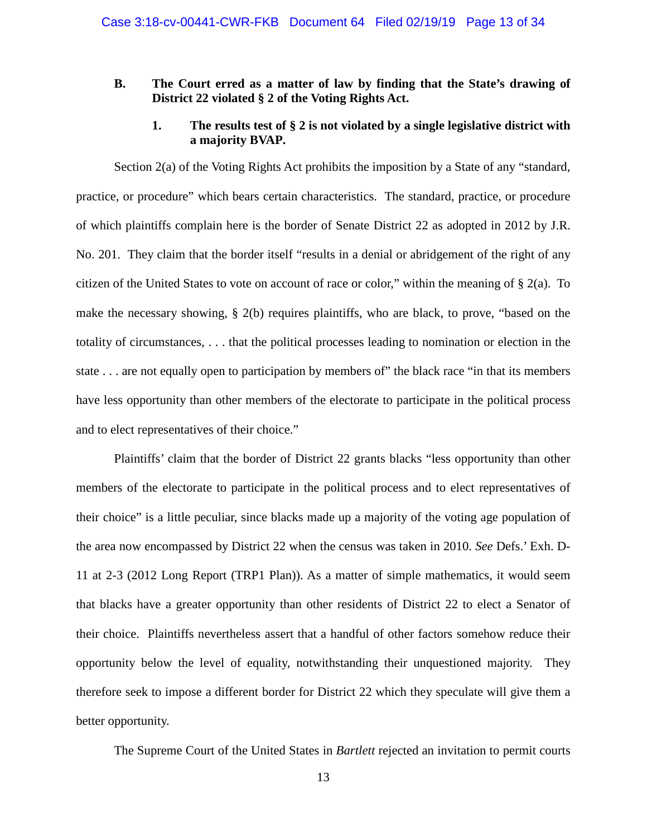## **B. The Court erred as a matter of law by finding that the State's drawing of District 22 violated § 2 of the Voting Rights Act.**

## **1. The results test of § 2 is not violated by a single legislative district with a majority BVAP.**

Section 2(a) of the Voting Rights Act prohibits the imposition by a State of any "standard, practice, or procedure" which bears certain characteristics. The standard, practice, or procedure of which plaintiffs complain here is the border of Senate District 22 as adopted in 2012 by J.R. No. 201. They claim that the border itself "results in a denial or abridgement of the right of any citizen of the United States to vote on account of race or color," within the meaning of  $\S 2(a)$ . To make the necessary showing, § 2(b) requires plaintiffs, who are black, to prove, "based on the totality of circumstances, . . . that the political processes leading to nomination or election in the state . . . are not equally open to participation by members of" the black race "in that its members have less opportunity than other members of the electorate to participate in the political process and to elect representatives of their choice."

Plaintiffs' claim that the border of District 22 grants blacks "less opportunity than other members of the electorate to participate in the political process and to elect representatives of their choice" is a little peculiar, since blacks made up a majority of the voting age population of the area now encompassed by District 22 when the census was taken in 2010. *See* Defs.' Exh. D-11 at 2-3 (2012 Long Report (TRP1 Plan)). As a matter of simple mathematics, it would seem that blacks have a greater opportunity than other residents of District 22 to elect a Senator of their choice. Plaintiffs nevertheless assert that a handful of other factors somehow reduce their opportunity below the level of equality, notwithstanding their unquestioned majority. They therefore seek to impose a different border for District 22 which they speculate will give them a better opportunity.

The Supreme Court of the United States in *Bartlett* rejected an invitation to permit courts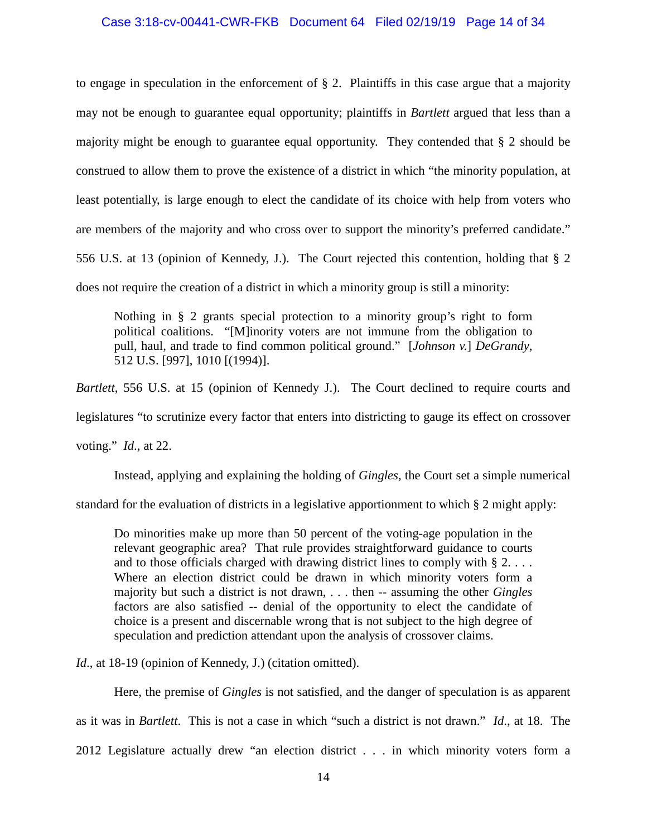#### Case 3:18-cv-00441-CWR-FKB Document 64 Filed 02/19/19 Page 14 of 34

to engage in speculation in the enforcement of § 2. Plaintiffs in this case argue that a majority may not be enough to guarantee equal opportunity; plaintiffs in *Bartlett* argued that less than a majority might be enough to guarantee equal opportunity. They contended that § 2 should be construed to allow them to prove the existence of a district in which "the minority population, at least potentially, is large enough to elect the candidate of its choice with help from voters who are members of the majority and who cross over to support the minority's preferred candidate." 556 U.S. at 13 (opinion of Kennedy, J.). The Court rejected this contention, holding that § 2 does not require the creation of a district in which a minority group is still a minority:

Nothing in § 2 grants special protection to a minority group's right to form political coalitions. "[M]inority voters are not immune from the obligation to pull, haul, and trade to find common political ground." [*Johnson v.*] *DeGrandy*, 512 U.S. [997], 1010 [(1994)].

*Bartlett*, 556 U.S. at 15 (opinion of Kennedy J.). The Court declined to require courts and legislatures "to scrutinize every factor that enters into districting to gauge its effect on crossover voting." *Id*., at 22.

Instead, applying and explaining the holding of *Gingles*, the Court set a simple numerical

standard for the evaluation of districts in a legislative apportionment to which § 2 might apply:

Do minorities make up more than 50 percent of the voting-age population in the relevant geographic area? That rule provides straightforward guidance to courts and to those officials charged with drawing district lines to comply with  $\S 2$ ... Where an election district could be drawn in which minority voters form a majority but such a district is not drawn, . . . then -- assuming the other *Gingles* factors are also satisfied -- denial of the opportunity to elect the candidate of choice is a present and discernable wrong that is not subject to the high degree of speculation and prediction attendant upon the analysis of crossover claims.

*Id.*, at 18-19 (opinion of Kennedy, J.) (citation omitted).

Here, the premise of *Gingles* is not satisfied, and the danger of speculation is as apparent

as it was in *Bartlett*. This is not a case in which "such a district is not drawn." *Id*., at 18. The

2012 Legislature actually drew "an election district . . . in which minority voters form a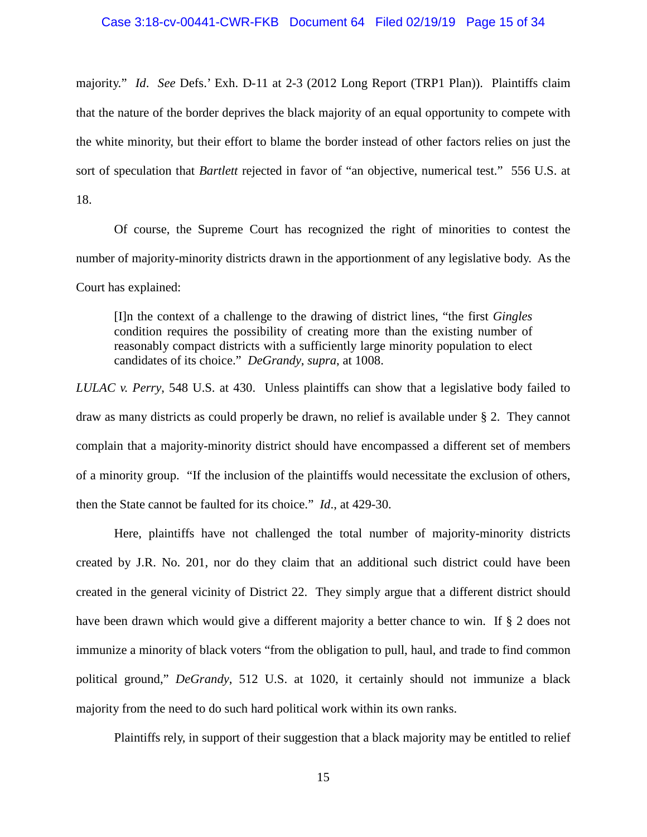majority." *Id*. *See* Defs.' Exh. D-11 at 2-3 (2012 Long Report (TRP1 Plan)). Plaintiffs claim that the nature of the border deprives the black majority of an equal opportunity to compete with the white minority, but their effort to blame the border instead of other factors relies on just the sort of speculation that *Bartlett* rejected in favor of "an objective, numerical test." 556 U.S. at 18.

Of course, the Supreme Court has recognized the right of minorities to contest the number of majority-minority districts drawn in the apportionment of any legislative body. As the Court has explained:

[I]n the context of a challenge to the drawing of district lines, "the first *Gingles* condition requires the possibility of creating more than the existing number of reasonably compact districts with a sufficiently large minority population to elect candidates of its choice." *DeGrandy*, *supra*, at 1008.

*LULAC v. Perry*, 548 U.S. at 430. Unless plaintiffs can show that a legislative body failed to draw as many districts as could properly be drawn, no relief is available under § 2. They cannot complain that a majority-minority district should have encompassed a different set of members of a minority group. "If the inclusion of the plaintiffs would necessitate the exclusion of others, then the State cannot be faulted for its choice." *Id*., at 429-30.

Here, plaintiffs have not challenged the total number of majority-minority districts created by J.R. No. 201, nor do they claim that an additional such district could have been created in the general vicinity of District 22. They simply argue that a different district should have been drawn which would give a different majority a better chance to win. If § 2 does not immunize a minority of black voters "from the obligation to pull, haul, and trade to find common political ground," *DeGrandy*, 512 U.S. at 1020, it certainly should not immunize a black majority from the need to do such hard political work within its own ranks.

Plaintiffs rely, in support of their suggestion that a black majority may be entitled to relief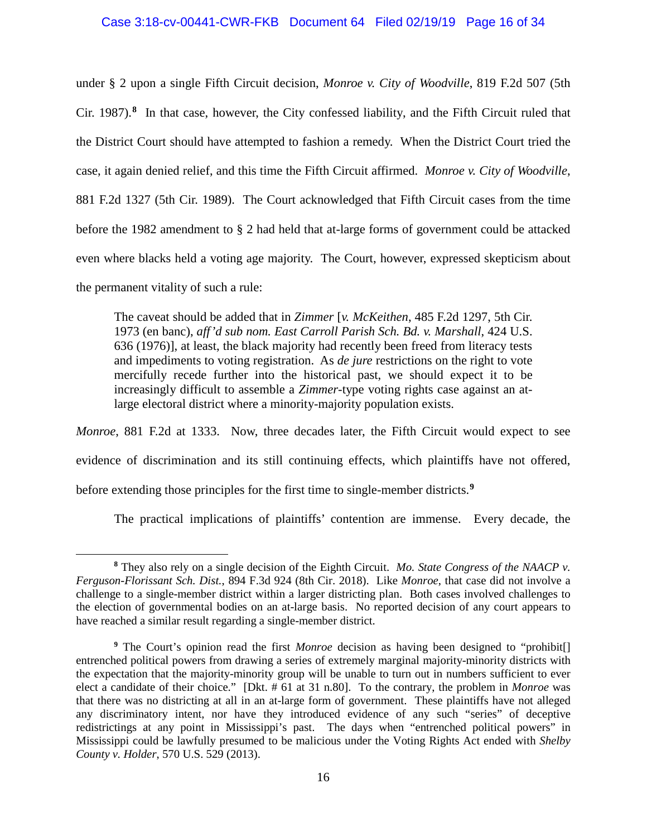#### Case 3:18-cv-00441-CWR-FKB Document 64 Filed 02/19/19 Page 16 of 34

under § 2 upon a single Fifth Circuit decision, *Monroe v. City of Woodville*, 819 F.2d 507 (5th Cir. 1987).**[8](#page-17-0)** In that case, however, the City confessed liability, and the Fifth Circuit ruled that the District Court should have attempted to fashion a remedy. When the District Court tried the case, it again denied relief, and this time the Fifth Circuit affirmed. *Monroe v. City of Woodville*, 881 F.2d 1327 (5th Cir. 1989). The Court acknowledged that Fifth Circuit cases from the time before the 1982 amendment to § 2 had held that at-large forms of government could be attacked even where blacks held a voting age majority. The Court, however, expressed skepticism about the permanent vitality of such a rule:

The caveat should be added that in *Zimmer* [*v. McKeithen*, 485 F.2d 1297, 5th Cir. 1973 (en banc), *aff'd sub nom. East Carroll Parish Sch. Bd. v. Marshall*, 424 U.S. 636 (1976)], at least, the black majority had recently been freed from literacy tests and impediments to voting registration. As *de jure* restrictions on the right to vote mercifully recede further into the historical past, we should expect it to be increasingly difficult to assemble a *Zimmer*-type voting rights case against an atlarge electoral district where a minority-majority population exists.

*Monroe*, 881 F.2d at 1333. Now, three decades later, the Fifth Circuit would expect to see evidence of discrimination and its still continuing effects, which plaintiffs have not offered, before extending those principles for the first time to single-member districts.**[9](#page-17-1)**

The practical implications of plaintiffs' contention are immense. Every decade, the

<span id="page-17-0"></span>**<sup>8</sup>** They also rely on a single decision of the Eighth Circuit. *Mo. State Congress of the NAACP v. Ferguson-Florissant Sch. Dist.*, 894 F.3d 924 (8th Cir. 2018). Like *Monroe*, that case did not involve a challenge to a single-member district within a larger districting plan. Both cases involved challenges to the election of governmental bodies on an at-large basis. No reported decision of any court appears to have reached a similar result regarding a single-member district.

<span id="page-17-1"></span>**<sup>9</sup>** The Court's opinion read the first *Monroe* decision as having been designed to "prohibit[] entrenched political powers from drawing a series of extremely marginal majority-minority districts with the expectation that the majority-minority group will be unable to turn out in numbers sufficient to ever elect a candidate of their choice." [Dkt. # 61 at 31 n.80]. To the contrary, the problem in *Monroe* was that there was no districting at all in an at-large form of government. These plaintiffs have not alleged any discriminatory intent, nor have they introduced evidence of any such "series" of deceptive redistrictings at any point in Mississippi's past. The days when "entrenched political powers" in Mississippi could be lawfully presumed to be malicious under the Voting Rights Act ended with *Shelby County v. Holder*, 570 U.S. 529 (2013).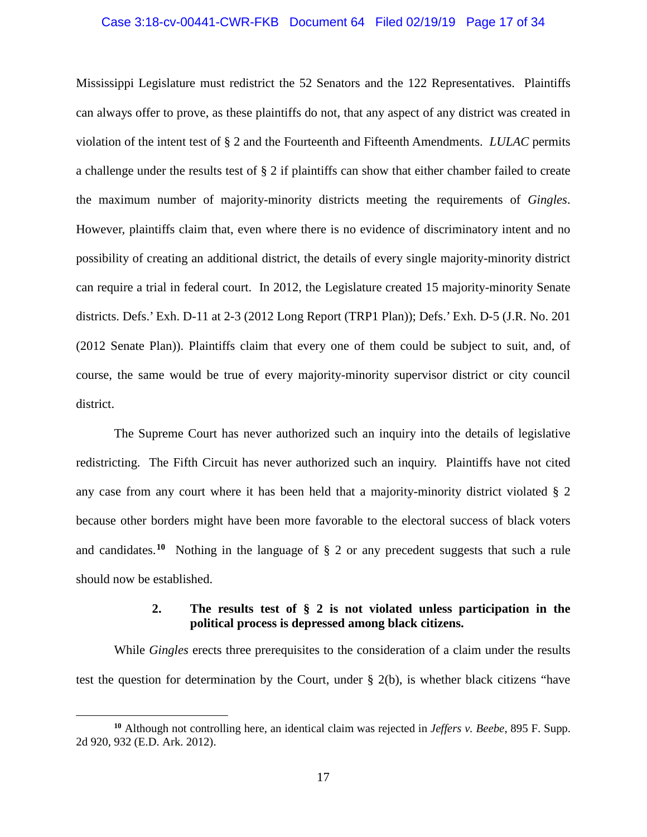#### Case 3:18-cv-00441-CWR-FKB Document 64 Filed 02/19/19 Page 17 of 34

Mississippi Legislature must redistrict the 52 Senators and the 122 Representatives. Plaintiffs can always offer to prove, as these plaintiffs do not, that any aspect of any district was created in violation of the intent test of § 2 and the Fourteenth and Fifteenth Amendments. *LULAC* permits a challenge under the results test of § 2 if plaintiffs can show that either chamber failed to create the maximum number of majority-minority districts meeting the requirements of *Gingles*. However, plaintiffs claim that, even where there is no evidence of discriminatory intent and no possibility of creating an additional district, the details of every single majority-minority district can require a trial in federal court. In 2012, the Legislature created 15 majority-minority Senate districts. Defs.' Exh. D-11 at 2-3 (2012 Long Report (TRP1 Plan)); Defs.' Exh. D-5 (J.R. No. 201 (2012 Senate Plan)). Plaintiffs claim that every one of them could be subject to suit, and, of course, the same would be true of every majority-minority supervisor district or city council district.

The Supreme Court has never authorized such an inquiry into the details of legislative redistricting. The Fifth Circuit has never authorized such an inquiry. Plaintiffs have not cited any case from any court where it has been held that a majority-minority district violated § 2 because other borders might have been more favorable to the electoral success of black voters and candidates.**[10](#page-18-0)** Nothing in the language of § 2 or any precedent suggests that such a rule should now be established.

# **2. The results test of § 2 is not violated unless participation in the political process is depressed among black citizens.**

While *Gingles* erects three prerequisites to the consideration of a claim under the results test the question for determination by the Court, under § 2(b), is whether black citizens "have

<span id="page-18-0"></span>**<sup>10</sup>** Although not controlling here, an identical claim was rejected in *Jeffers v. Beebe*, 895 F. Supp. 2d 920, 932 (E.D. Ark. 2012).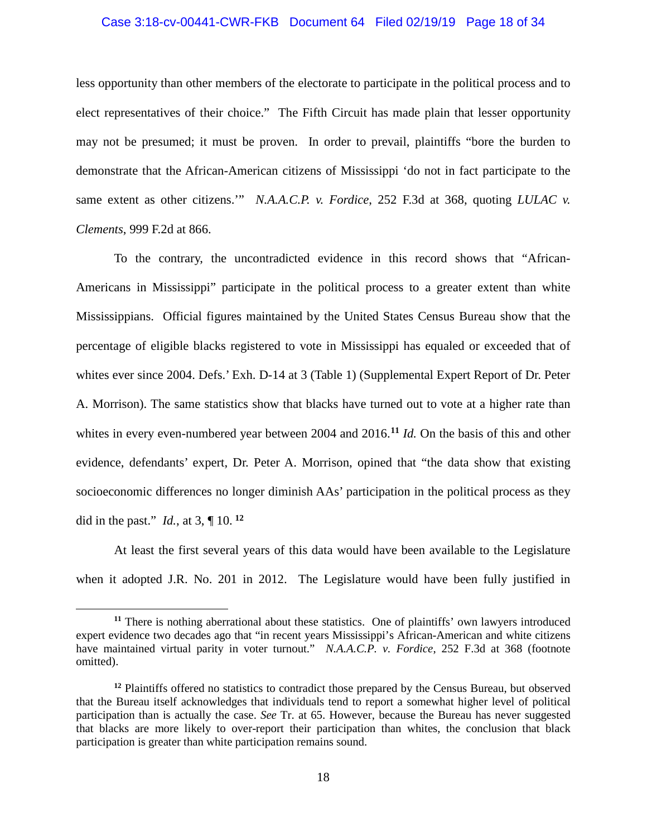#### Case 3:18-cv-00441-CWR-FKB Document 64 Filed 02/19/19 Page 18 of 34

less opportunity than other members of the electorate to participate in the political process and to elect representatives of their choice." The Fifth Circuit has made plain that lesser opportunity may not be presumed; it must be proven. In order to prevail, plaintiffs "bore the burden to demonstrate that the African-American citizens of Mississippi 'do not in fact participate to the same extent as other citizens."" *N.A.A.C.P. v. Fordice*, 252 F.3d at 368, quoting *LULAC v. Clements*, 999 F.2d at 866.

To the contrary, the uncontradicted evidence in this record shows that "African-Americans in Mississippi" participate in the political process to a greater extent than white Mississippians. Official figures maintained by the United States Census Bureau show that the percentage of eligible blacks registered to vote in Mississippi has equaled or exceeded that of whites ever since 2004. Defs.' Exh. D-14 at 3 (Table 1) (Supplemental Expert Report of Dr. Peter A. Morrison). The same statistics show that blacks have turned out to vote at a higher rate than whites in every even-numbered year between 2004 and 2016.**[11](#page-19-0)** *Id.* On the basis of this and other evidence, defendants' expert, Dr. Peter A. Morrison, opined that "the data show that existing socioeconomic differences no longer diminish AAs' participation in the political process as they did in the past." *Id.*, at 3, ¶ 10. **[12](#page-19-1)**

At least the first several years of this data would have been available to the Legislature when it adopted J.R. No. 201 in 2012. The Legislature would have been fully justified in

<span id="page-19-0"></span>**<sup>11</sup>** There is nothing aberrational about these statistics. One of plaintiffs' own lawyers introduced expert evidence two decades ago that "in recent years Mississippi's African-American and white citizens have maintained virtual parity in voter turnout." *N.A.A.C.P. v. Fordice*, 252 F.3d at 368 (footnote omitted).

<span id="page-19-1"></span>**<sup>12</sup>** Plaintiffs offered no statistics to contradict those prepared by the Census Bureau, but observed that the Bureau itself acknowledges that individuals tend to report a somewhat higher level of political participation than is actually the case. *See* Tr. at 65. However, because the Bureau has never suggested that blacks are more likely to over-report their participation than whites, the conclusion that black participation is greater than white participation remains sound.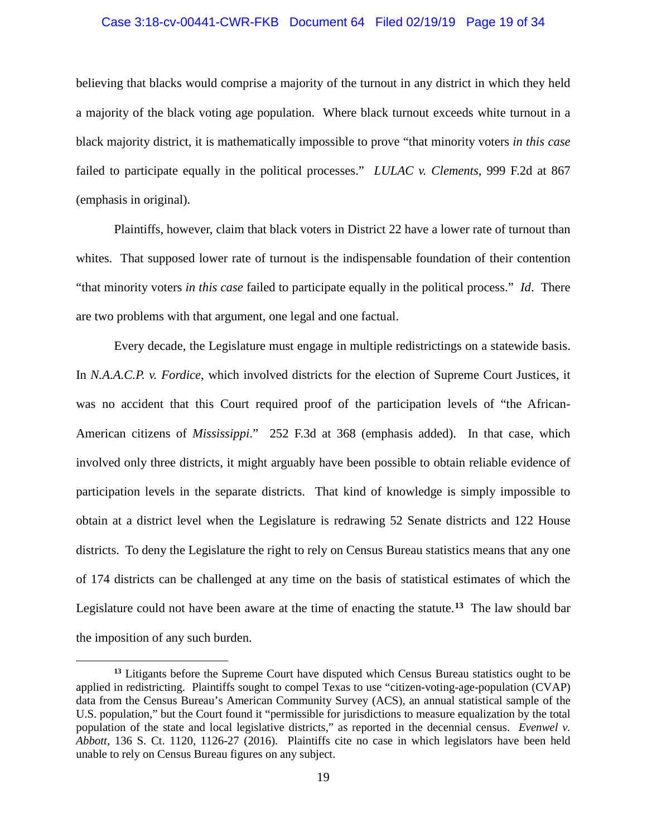# Case 3:18-cv-00441-CWR-FKB Document 64 Filed 02/19/19 Page 19 of 34

believing that blacks would comprise a majority of the turnout in any district in which they held a majority of the black voting age population. Where black turnout exceeds white turnout in a black majority district, it is mathematically impossible to prove "that minority voters *in this case* failed to participate equally in the political processes." *LULAC v. Clements*, 999 F.2d at 867 (emphasis in original).

Plaintiffs, however, claim that black voters in District 22 have a lower rate of turnout than whites. That supposed lower rate of turnout is the indispensable foundation of their contention "that minority voters *in this case* failed to participate equally in the political process." *Id*. There are two problems with that argument, one legal and one factual.

Every decade, the Legislature must engage in multiple redistrictings on a statewide basis. In *N.A.A.C.P. v. Fordice*, which involved districts for the election of Supreme Court Justices, it was no accident that this Court required proof of the participation levels of "the African-American citizens of *Mississippi*." 252 F.3d at 368 (emphasis added). In that case, which involved only three districts, it might arguably have been possible to obtain reliable evidence of participation levels in the separate districts. That kind of knowledge is simply impossible to obtain at a district level when the Legislature is redrawing 52 Senate districts and 122 House districts. To deny the Legislature the right to rely on Census Bureau statistics means that any one of 174 districts can be challenged at any time on the basis of statistical estimates of which the Legislature could not have been aware at the time of enacting the statute.**[13](#page-20-0)** The law should bar the imposition of any such burden.

<span id="page-20-0"></span>**<sup>13</sup>** Litigants before the Supreme Court have disputed which Census Bureau statistics ought to be applied in redistricting. Plaintiffs sought to compel Texas to use "citizen-voting-age-population (CVAP) data from the Census Bureau's American Community Survey (ACS), an annual statistical sample of the U.S. population," but the Court found it "permissible for jurisdictions to measure equalization by the total population of the state and local legislative districts," as reported in the decennial census. *Evenwel v. Abbott*, 136 S. Ct. 1120, 1126-27 (2016). Plaintiffs cite no case in which legislators have been held unable to rely on Census Bureau figures on any subject.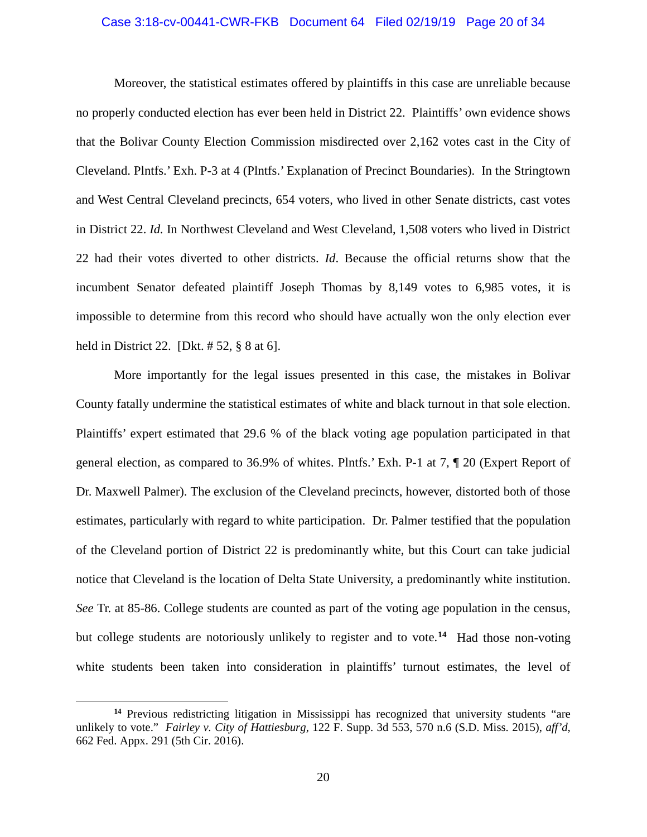#### Case 3:18-cv-00441-CWR-FKB Document 64 Filed 02/19/19 Page 20 of 34

Moreover, the statistical estimates offered by plaintiffs in this case are unreliable because no properly conducted election has ever been held in District 22. Plaintiffs' own evidence shows that the Bolivar County Election Commission misdirected over 2,162 votes cast in the City of Cleveland. Plntfs.' Exh. P-3 at 4 (Plntfs.' Explanation of Precinct Boundaries). In the Stringtown and West Central Cleveland precincts, 654 voters, who lived in other Senate districts, cast votes in District 22. *Id.* In Northwest Cleveland and West Cleveland, 1,508 voters who lived in District 22 had their votes diverted to other districts. *Id*. Because the official returns show that the incumbent Senator defeated plaintiff Joseph Thomas by 8,149 votes to 6,985 votes, it is impossible to determine from this record who should have actually won the only election ever held in District 22. [Dkt. # 52, § 8 at 6].

More importantly for the legal issues presented in this case, the mistakes in Bolivar County fatally undermine the statistical estimates of white and black turnout in that sole election. Plaintiffs' expert estimated that 29.6 % of the black voting age population participated in that general election, as compared to 36.9% of whites. Plntfs.' Exh. P-1 at 7, ¶ 20 (Expert Report of Dr. Maxwell Palmer). The exclusion of the Cleveland precincts, however, distorted both of those estimates, particularly with regard to white participation. Dr. Palmer testified that the population of the Cleveland portion of District 22 is predominantly white, but this Court can take judicial notice that Cleveland is the location of Delta State University, a predominantly white institution. *See* Tr. at 85-86. College students are counted as part of the voting age population in the census, but college students are notoriously unlikely to register and to vote.**[14](#page-21-0)** Had those non-voting white students been taken into consideration in plaintiffs' turnout estimates, the level of

<span id="page-21-0"></span>**<sup>14</sup>** Previous redistricting litigation in Mississippi has recognized that university students "are unlikely to vote." *Fairley v. City of Hattiesburg*, 122 F. Supp. 3d 553, 570 n.6 (S.D. Miss. 2015), *aff'd*, 662 Fed. Appx. 291 (5th Cir. 2016).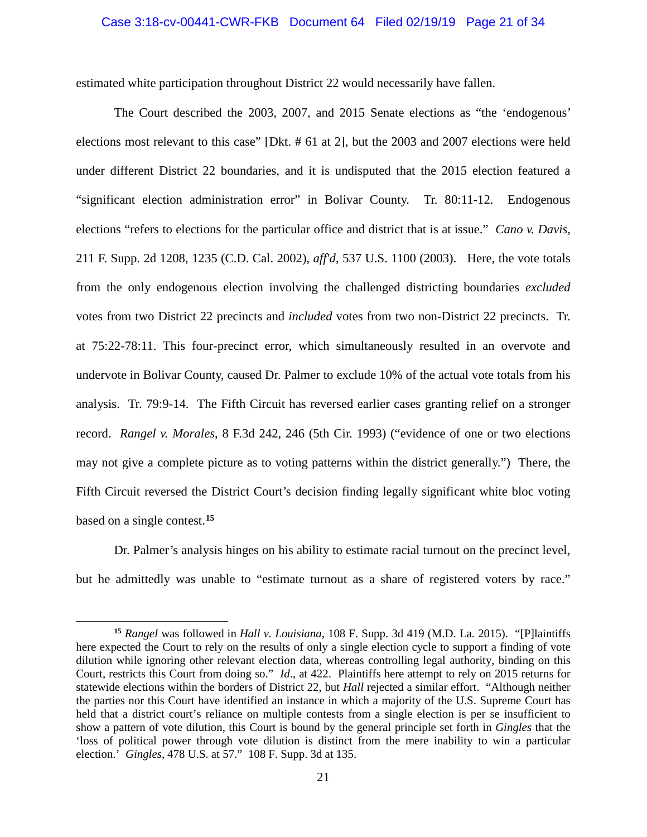#### Case 3:18-cv-00441-CWR-FKB Document 64 Filed 02/19/19 Page 21 of 34

estimated white participation throughout District 22 would necessarily have fallen.

The Court described the 2003, 2007, and 2015 Senate elections as "the 'endogenous' elections most relevant to this case" [Dkt. # 61 at 2], but the 2003 and 2007 elections were held under different District 22 boundaries, and it is undisputed that the 2015 election featured a "significant election administration error" in Bolivar County. Tr. 80:11-12. Endogenous elections "refers to elections for the particular office and district that is at issue." *Cano v. Davis*, 211 F. Supp. 2d 1208, 1235 (C.D. Cal. 2002), *aff'd*, 537 U.S. 1100 (2003). Here, the vote totals from the only endogenous election involving the challenged districting boundaries *excluded* votes from two District 22 precincts and *included* votes from two non-District 22 precincts. Tr. at 75:22-78:11. This four-precinct error, which simultaneously resulted in an overvote and undervote in Bolivar County, caused Dr. Palmer to exclude 10% of the actual vote totals from his analysis. Tr. 79:9-14. The Fifth Circuit has reversed earlier cases granting relief on a stronger record. *Rangel v. Morales*, 8 F.3d 242, 246 (5th Cir. 1993) ("evidence of one or two elections may not give a complete picture as to voting patterns within the district generally.") There, the Fifth Circuit reversed the District Court's decision finding legally significant white bloc voting based on a single contest.**[15](#page-22-0)**

Dr. Palmer's analysis hinges on his ability to estimate racial turnout on the precinct level, but he admittedly was unable to "estimate turnout as a share of registered voters by race."

<span id="page-22-0"></span>**<sup>15</sup>** *Rangel* was followed in *Hall v. Louisiana*, 108 F. Supp. 3d 419 (M.D. La. 2015). "[P]laintiffs here expected the Court to rely on the results of only a single election cycle to support a finding of vote dilution while ignoring other relevant election data, whereas controlling legal authority, binding on this Court, restricts this Court from doing so." *Id*., at 422. Plaintiffs here attempt to rely on 2015 returns for statewide elections within the borders of District 22, but *Hall* rejected a similar effort. "Although neither the parties nor this Court have identified an instance in which a majority of the U.S. Supreme Court has held that a district court's reliance on multiple contests from a single election is per se insufficient to show a pattern of vote dilution, this Court is bound by the general principle set forth in *Gingles* that the 'loss of political power through vote dilution is distinct from the mere inability to win a particular election.' *Gingles*, 478 U.S. at 57." 108 F. Supp. 3d at 135.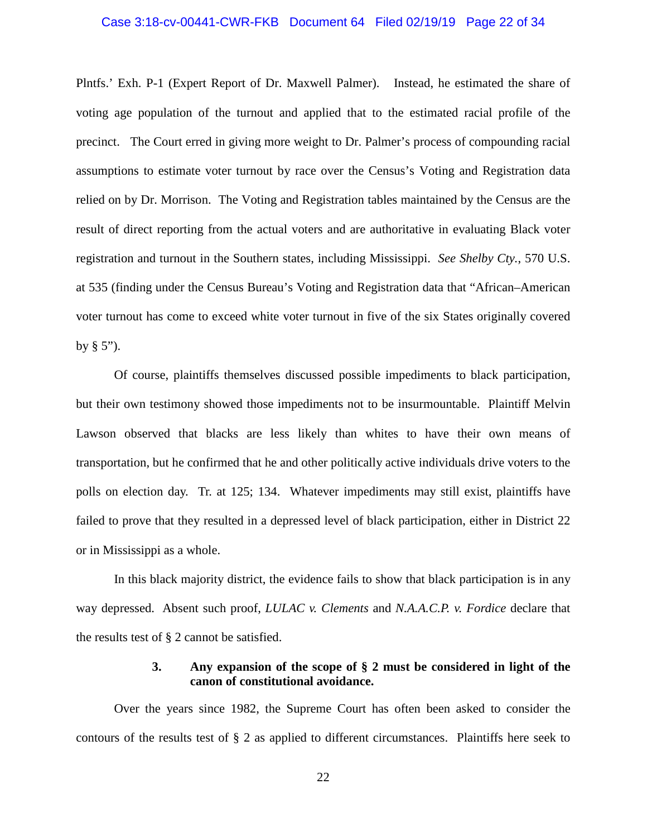#### Case 3:18-cv-00441-CWR-FKB Document 64 Filed 02/19/19 Page 22 of 34

Plntfs.' Exh. P-1 (Expert Report of Dr. Maxwell Palmer). Instead, he estimated the share of voting age population of the turnout and applied that to the estimated racial profile of the precinct. The Court erred in giving more weight to Dr. Palmer's process of compounding racial assumptions to estimate voter turnout by race over the Census's Voting and Registration data relied on by Dr. Morrison. The Voting and Registration tables maintained by the Census are the result of direct reporting from the actual voters and are authoritative in evaluating Black voter registration and turnout in the Southern states, including Mississippi. *See Shelby Cty.*, 570 U.S. at 535 (finding under the Census Bureau's Voting and Registration data that "African–American voter turnout has come to exceed white voter turnout in five of the six States originally covered by  $\S$  5").

Of course, plaintiffs themselves discussed possible impediments to black participation, but their own testimony showed those impediments not to be insurmountable. Plaintiff Melvin Lawson observed that blacks are less likely than whites to have their own means of transportation, but he confirmed that he and other politically active individuals drive voters to the polls on election day. Tr. at 125; 134. Whatever impediments may still exist, plaintiffs have failed to prove that they resulted in a depressed level of black participation, either in District 22 or in Mississippi as a whole.

In this black majority district, the evidence fails to show that black participation is in any way depressed. Absent such proof, *LULAC v. Clements* and *N.A.A.C.P. v. Fordice* declare that the results test of § 2 cannot be satisfied.

## **3. Any expansion of the scope of § 2 must be considered in light of the canon of constitutional avoidance.**

Over the years since 1982, the Supreme Court has often been asked to consider the contours of the results test of § 2 as applied to different circumstances. Plaintiffs here seek to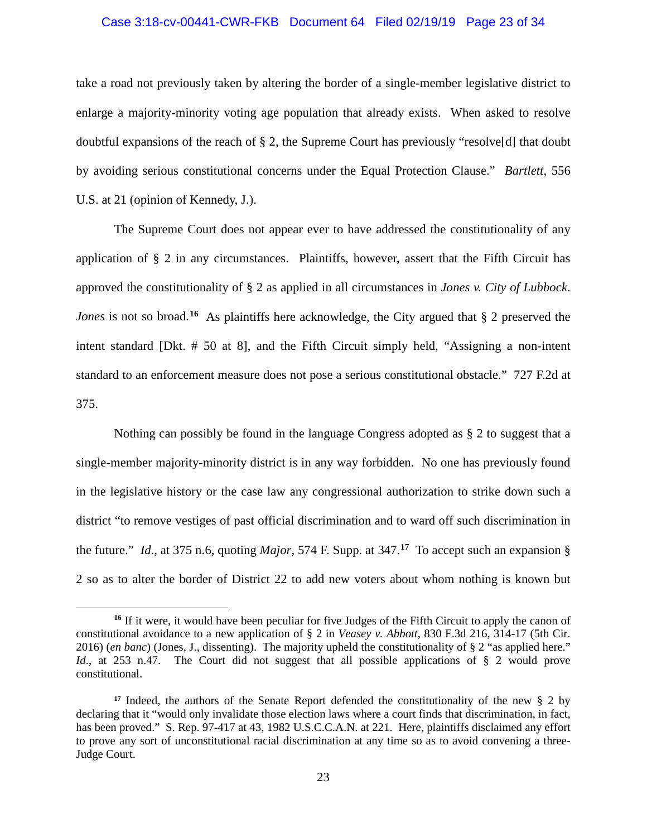# Case 3:18-cv-00441-CWR-FKB Document 64 Filed 02/19/19 Page 23 of 34

take a road not previously taken by altering the border of a single-member legislative district to enlarge a majority-minority voting age population that already exists. When asked to resolve doubtful expansions of the reach of § 2, the Supreme Court has previously "resolve[d] that doubt by avoiding serious constitutional concerns under the Equal Protection Clause." *Bartlett*, 556 U.S. at 21 (opinion of Kennedy, J.).

The Supreme Court does not appear ever to have addressed the constitutionality of any application of § 2 in any circumstances. Plaintiffs, however, assert that the Fifth Circuit has approved the constitutionality of § 2 as applied in all circumstances in *Jones v. City of Lubbock*. *Jones* is not so broad.<sup>[16](#page-24-0)</sup> As plaintiffs here acknowledge, the City argued that § 2 preserved the intent standard [Dkt. # 50 at 8], and the Fifth Circuit simply held, "Assigning a non-intent standard to an enforcement measure does not pose a serious constitutional obstacle." 727 F.2d at 375.

Nothing can possibly be found in the language Congress adopted as § 2 to suggest that a single-member majority-minority district is in any way forbidden. No one has previously found in the legislative history or the case law any congressional authorization to strike down such a district "to remove vestiges of past official discrimination and to ward off such discrimination in the future." *Id*., at 375 n.6, quoting *Major*, 574 F. Supp. at 347.**[17](#page-24-1)** To accept such an expansion § 2 so as to alter the border of District 22 to add new voters about whom nothing is known but

<span id="page-24-0"></span><sup>&</sup>lt;sup>16</sup> If it were, it would have been peculiar for five Judges of the Fifth Circuit to apply the canon of constitutional avoidance to a new application of § 2 in *Veasey v. Abbott*, 830 F.3d 216, 314-17 (5th Cir. 2016) (*en banc*) (Jones, J., dissenting). The majority upheld the constitutionality of § 2 "as applied here." *Id.*, at 253 n.47. The Court did not suggest that all possible applications of § 2 would prove constitutional.

<span id="page-24-1"></span>**<sup>17</sup>** Indeed, the authors of the Senate Report defended the constitutionality of the new § 2 by declaring that it "would only invalidate those election laws where a court finds that discrimination, in fact, has been proved." S. Rep. 97-417 at 43, 1982 U.S.C.C.A.N. at 221. Here, plaintiffs disclaimed any effort to prove any sort of unconstitutional racial discrimination at any time so as to avoid convening a three-Judge Court.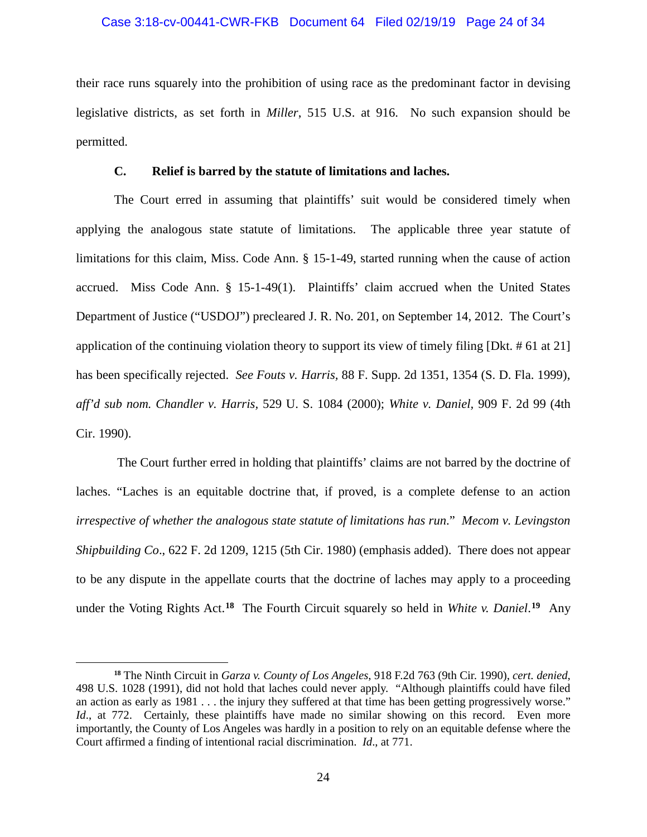#### Case 3:18-cv-00441-CWR-FKB Document 64 Filed 02/19/19 Page 24 of 34

their race runs squarely into the prohibition of using race as the predominant factor in devising legislative districts, as set forth in *Miller*, 515 U.S. at 916. No such expansion should be permitted.

### **C. Relief is barred by the statute of limitations and laches.**

The Court erred in assuming that plaintiffs' suit would be considered timely when applying the analogous state statute of limitations. The applicable three year statute of limitations for this claim, Miss. Code Ann. § 15-1-49, started running when the cause of action accrued. Miss Code Ann. § 15-1-49(1). Plaintiffs' claim accrued when the United States Department of Justice ("USDOJ") precleared J. R. No. 201, on September 14, 2012. The Court's application of the continuing violation theory to support its view of timely filing [Dkt. # 61 at 21] has been specifically rejected. *See Fouts v. Harris,* 88 F. Supp. 2d 1351, 1354 (S. D. Fla. 1999), *aff'd sub nom. Chandler v. Harris,* 529 U. S. 1084 (2000); *White v. Daniel,* 909 F. 2d 99 (4th Cir. 1990).

The Court further erred in holding that plaintiffs' claims are not barred by the doctrine of laches. "Laches is an equitable doctrine that, if proved, is a complete defense to an action *irrespective of whether the analogous state statute of limitations has run*." *Mecom v. Levingston Shipbuilding Co*., 622 F. 2d 1209, 1215 (5th Cir. 1980) (emphasis added). There does not appear to be any dispute in the appellate courts that the doctrine of laches may apply to a proceeding under the Voting Rights Act.**[18](#page-25-0)** The Fourth Circuit squarely so held in *White v. Daniel*. **[19](#page-25-1)** Any

<span id="page-25-1"></span><span id="page-25-0"></span>**<sup>18</sup>** The Ninth Circuit in *Garza v. County of Los Angeles*, 918 F.2d 763 (9th Cir. 1990), *cert. denied*, 498 U.S. 1028 (1991), did not hold that laches could never apply. "Although plaintiffs could have filed an action as early as 1981 . . . the injury they suffered at that time has been getting progressively worse." *Id.*, at 772. Certainly, these plaintiffs have made no similar showing on this record. Even more importantly, the County of Los Angeles was hardly in a position to rely on an equitable defense where the Court affirmed a finding of intentional racial discrimination. *Id*., at 771.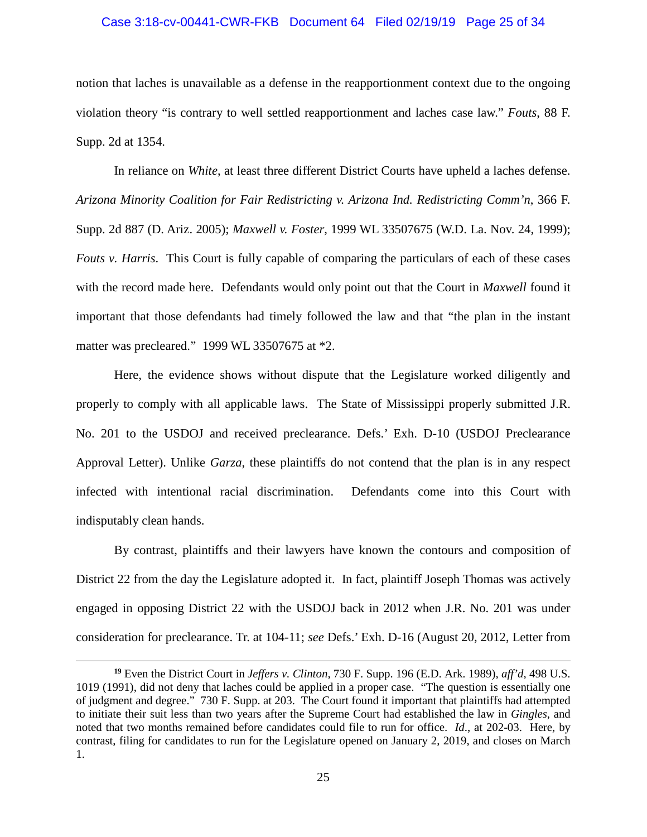#### Case 3:18-cv-00441-CWR-FKB Document 64 Filed 02/19/19 Page 25 of 34

notion that laches is unavailable as a defense in the reapportionment context due to the ongoing violation theory "is contrary to well settled reapportionment and laches case law." *Fouts*, 88 F. Supp. 2d at 1354.

In reliance on *White*, at least three different District Courts have upheld a laches defense. *Arizona Minority Coalition for Fair Redistricting v. Arizona Ind. Redistricting Comm'n*, 366 F. Supp. 2d 887 (D. Ariz. 2005); *Maxwell v. Foster*, 1999 WL 33507675 (W.D. La. Nov. 24, 1999); *Fouts v. Harris*. This Court is fully capable of comparing the particulars of each of these cases with the record made here. Defendants would only point out that the Court in *Maxwell* found it important that those defendants had timely followed the law and that "the plan in the instant matter was precleared." 1999 WL 33507675 at \*2.

Here, the evidence shows without dispute that the Legislature worked diligently and properly to comply with all applicable laws. The State of Mississippi properly submitted J.R. No. 201 to the USDOJ and received preclearance. Defs.' Exh. D-10 (USDOJ Preclearance Approval Letter). Unlike *Garza*, these plaintiffs do not contend that the plan is in any respect infected with intentional racial discrimination. Defendants come into this Court with indisputably clean hands.

By contrast, plaintiffs and their lawyers have known the contours and composition of District 22 from the day the Legislature adopted it. In fact, plaintiff Joseph Thomas was actively engaged in opposing District 22 with the USDOJ back in 2012 when J.R. No. 201 was under consideration for preclearance. Tr. at 104-11; *see* Defs.' Exh. D-16 (August 20, 2012, Letter from

**<sup>19</sup>** Even the District Court in *Jeffers v. Clinton*, 730 F. Supp. 196 (E.D. Ark. 1989), *aff'd*, 498 U.S. 1019 (1991), did not deny that laches could be applied in a proper case. "The question is essentially one of judgment and degree." 730 F. Supp. at 203. The Court found it important that plaintiffs had attempted to initiate their suit less than two years after the Supreme Court had established the law in *Gingles*, and noted that two months remained before candidates could file to run for office. *Id*., at 202-03. Here, by contrast, filing for candidates to run for the Legislature opened on January 2, 2019, and closes on March 1.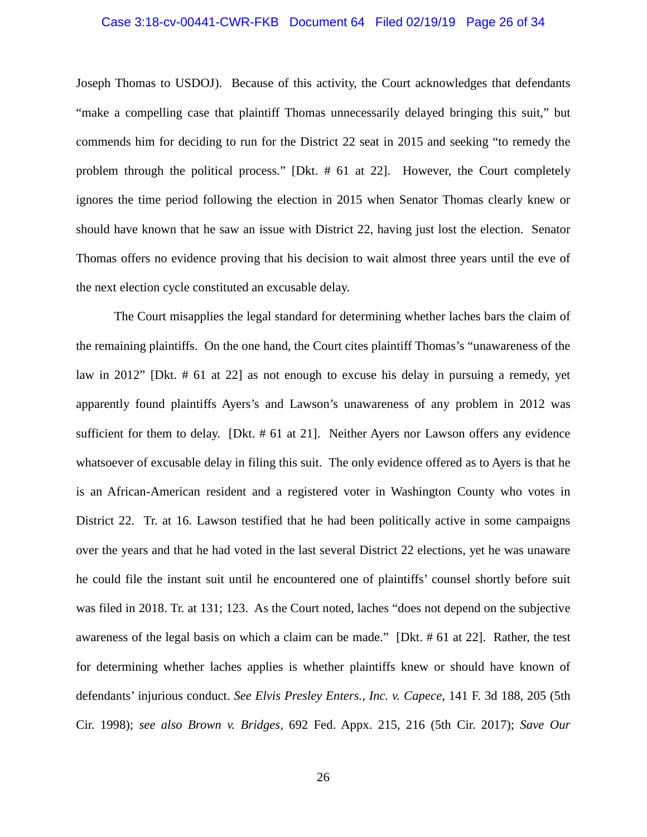#### Case 3:18-cv-00441-CWR-FKB Document 64 Filed 02/19/19 Page 26 of 34

Joseph Thomas to USDOJ). Because of this activity, the Court acknowledges that defendants "make a compelling case that plaintiff Thomas unnecessarily delayed bringing this suit," but commends him for deciding to run for the District 22 seat in 2015 and seeking "to remedy the problem through the political process." [Dkt. # 61 at 22]. However, the Court completely ignores the time period following the election in 2015 when Senator Thomas clearly knew or should have known that he saw an issue with District 22, having just lost the election. Senator Thomas offers no evidence proving that his decision to wait almost three years until the eve of the next election cycle constituted an excusable delay.

The Court misapplies the legal standard for determining whether laches bars the claim of the remaining plaintiffs. On the one hand, the Court cites plaintiff Thomas's "unawareness of the law in 2012" [Dkt. # 61 at 22] as not enough to excuse his delay in pursuing a remedy, yet apparently found plaintiffs Ayers's and Lawson's unawareness of any problem in 2012 was sufficient for them to delay. [Dkt. # 61 at 21]. Neither Ayers nor Lawson offers any evidence whatsoever of excusable delay in filing this suit. The only evidence offered as to Ayers is that he is an African-American resident and a registered voter in Washington County who votes in District 22. Tr. at 16. Lawson testified that he had been politically active in some campaigns over the years and that he had voted in the last several District 22 elections, yet he was unaware he could file the instant suit until he encountered one of plaintiffs' counsel shortly before suit was filed in 2018. Tr. at 131; 123. As the Court noted, laches "does not depend on the subjective awareness of the legal basis on which a claim can be made." [Dkt. # 61 at 22]. Rather, the test for determining whether laches applies is whether plaintiffs knew or should have known of defendants' injurious conduct. *See Elvis Presley Enters., Inc. v. Capece,* 141 F. 3d 188, 205 (5th Cir. 1998); *see also Brown v. Bridges,* 692 Fed. Appx. 215, 216 (5th Cir. 2017); *Save Our*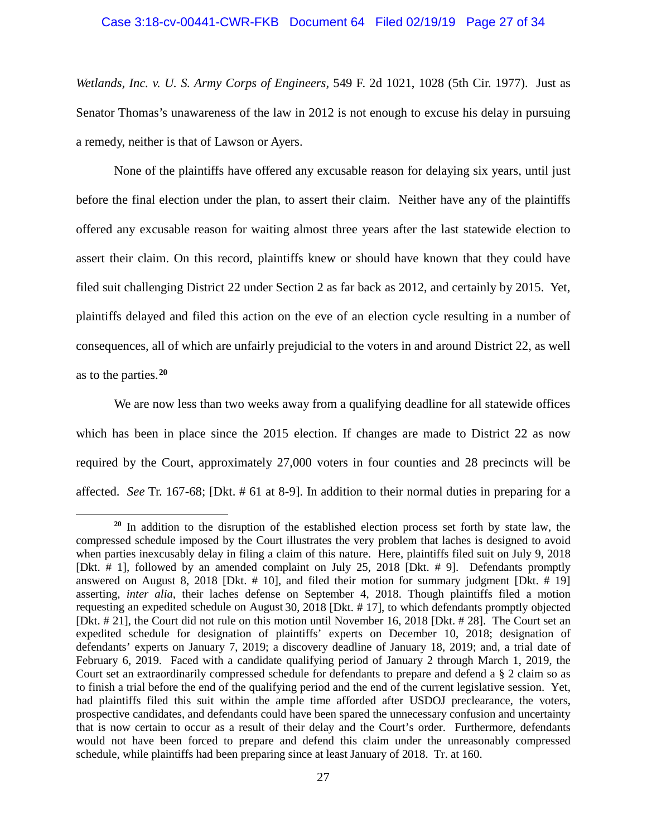*Wetlands, Inc. v. U. S. Army Corps of Engineers,* 549 F. 2d 1021, 1028 (5th Cir. 1977). Just as Senator Thomas's unawareness of the law in 2012 is not enough to excuse his delay in pursuing a remedy, neither is that of Lawson or Ayers.

None of the plaintiffs have offered any excusable reason for delaying six years, until just before the final election under the plan, to assert their claim. Neither have any of the plaintiffs offered any excusable reason for waiting almost three years after the last statewide election to assert their claim. On this record, plaintiffs knew or should have known that they could have filed suit challenging District 22 under Section 2 as far back as 2012, and certainly by 2015. Yet, plaintiffs delayed and filed this action on the eve of an election cycle resulting in a number of consequences, all of which are unfairly prejudicial to the voters in and around District 22, as well as to the parties.**[20](#page-28-0)**

We are now less than two weeks away from a qualifying deadline for all statewide offices which has been in place since the 2015 election. If changes are made to District 22 as now required by the Court, approximately 27,000 voters in four counties and 28 precincts will be affected. *See* Tr. 167-68; [Dkt. # 61 at 8-9]. In addition to their normal duties in preparing for a

<span id="page-28-0"></span>**<sup>20</sup>** In addition to the disruption of the established election process set forth by state law, the compressed schedule imposed by the Court illustrates the very problem that laches is designed to avoid when parties inexcusably delay in filing a claim of this nature. Here, plaintiffs filed suit on July 9, 2018 [Dkt. # 1], followed by an amended complaint on July 25, 2018 [Dkt. # 9]. Defendants promptly answered on August 8, 2018 [Dkt.  $# 10$ ], and filed their motion for summary judgment [Dkt.  $# 19$ ] asserting, *inter alia,* their laches defense on September 4, 2018. Though plaintiffs filed a motion requesting an expedited schedule on August 30, 2018 [Dkt. # 17], to which defendants promptly objected [Dkt. # 21], the Court did not rule on this motion until November 16, 2018 [Dkt. # 28]. The Court set an expedited schedule for designation of plaintiffs' experts on December 10, 2018; designation of defendants' experts on January 7, 2019; a discovery deadline of January 18, 2019; and, a trial date of February 6, 2019. Faced with a candidate qualifying period of January 2 through March 1, 2019, the Court set an extraordinarily compressed schedule for defendants to prepare and defend a § 2 claim so as to finish a trial before the end of the qualifying period and the end of the current legislative session. Yet, had plaintiffs filed this suit within the ample time afforded after USDOJ preclearance, the voters, prospective candidates, and defendants could have been spared the unnecessary confusion and uncertainty that is now certain to occur as a result of their delay and the Court's order. Furthermore, defendants would not have been forced to prepare and defend this claim under the unreasonably compressed schedule, while plaintiffs had been preparing since at least January of 2018. Tr. at 160.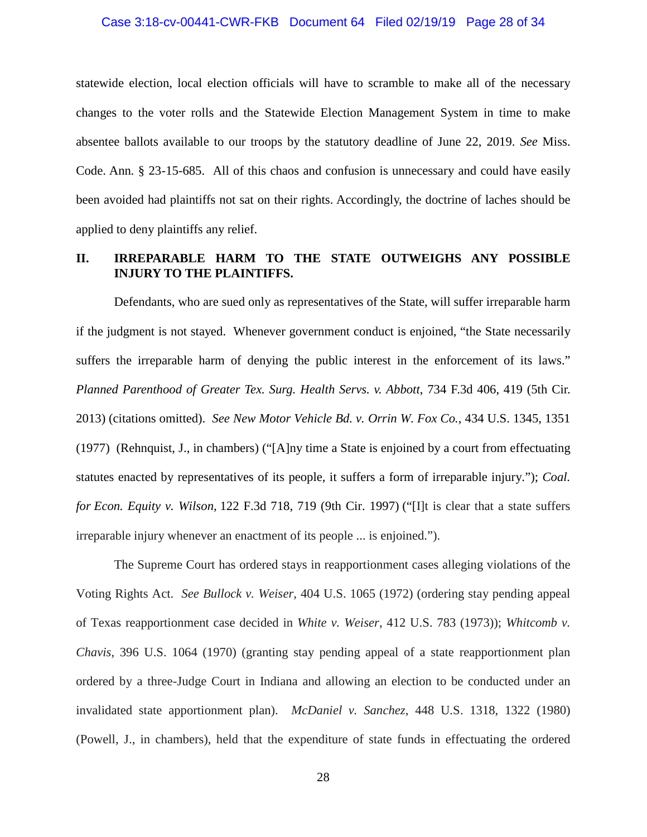#### Case 3:18-cv-00441-CWR-FKB Document 64 Filed 02/19/19 Page 28 of 34

statewide election, local election officials will have to scramble to make all of the necessary changes to the voter rolls and the Statewide Election Management System in time to make absentee ballots available to our troops by the statutory deadline of June 22, 2019. *See* Miss. Code. Ann*.* § 23-15-685. All of this chaos and confusion is unnecessary and could have easily been avoided had plaintiffs not sat on their rights. Accordingly, the doctrine of laches should be applied to deny plaintiffs any relief.

# **II. IRREPARABLE HARM TO THE STATE OUTWEIGHS ANY POSSIBLE INJURY TO THE PLAINTIFFS.**

Defendants, who are sued only as representatives of the State, will suffer irreparable harm if the judgment is not stayed. Whenever government conduct is enjoined, "the State necessarily suffers the irreparable harm of denying the public interest in the enforcement of its laws." *Planned Parenthood of Greater Tex. Surg. Health Servs. v. Abbott*, 734 F.3d 406, 419 (5th Cir. 2013) (citations omitted). *See New Motor Vehicle Bd. v. Orrin W. Fox Co.*, 434 U.S. 1345, 1351 (1977) (Rehnquist, J., in chambers) ("[A]ny time a State is enjoined by a court from effectuating statutes enacted by representatives of its people, it suffers a form of irreparable injury."); *Coal. for Econ. Equity v. Wilson,* 122 F.3d 718, 719 (9th Cir. 1997) ("[I]t is clear that a state suffers irreparable injury whenever an enactment of its people ... is enjoined.").

The Supreme Court has ordered stays in reapportionment cases alleging violations of the Voting Rights Act. *See Bullock v. Weiser*, 404 U.S. 1065 (1972) (ordering stay pending appeal of Texas reapportionment case decided in *White v. Weiser*, 412 U.S. 783 (1973)); *Whitcomb v. Chavis*, 396 U.S. 1064 (1970) (granting stay pending appeal of a state reapportionment plan ordered by a three-Judge Court in Indiana and allowing an election to be conducted under an invalidated state apportionment plan). *McDaniel v. Sanchez*, 448 U.S. 1318, 1322 (1980) (Powell, J., in chambers), held that the expenditure of state funds in effectuating the ordered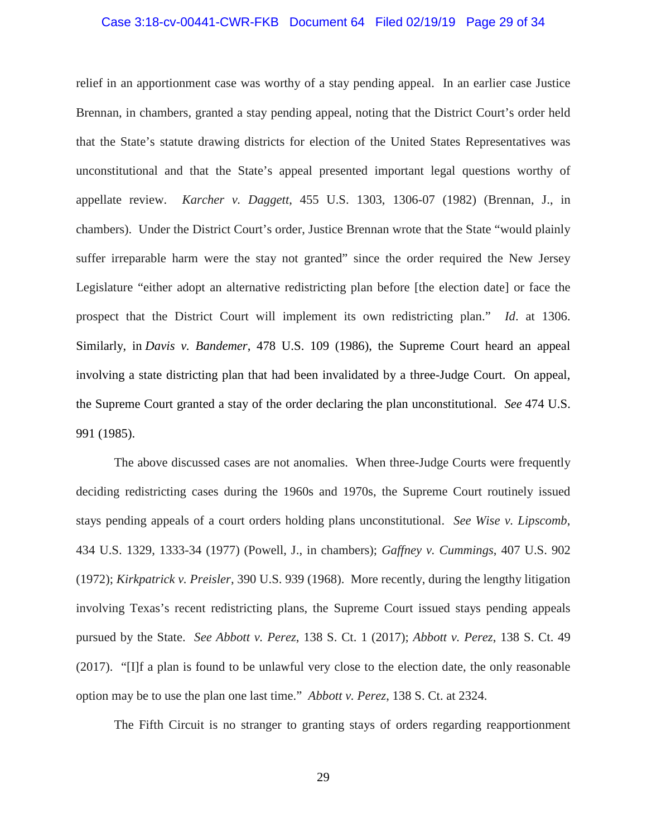#### Case 3:18-cv-00441-CWR-FKB Document 64 Filed 02/19/19 Page 29 of 34

relief in an apportionment case was worthy of a stay pending appeal. In an earlier case Justice Brennan, in chambers, granted a stay pending appeal, noting that the District Court's order held that the State's statute drawing districts for election of the United States Representatives was unconstitutional and that the State's appeal presented important legal questions worthy of appellate review. *Karcher v. Daggett*, 455 U.S. 1303, 1306-07 (1982) (Brennan, J., in chambers). Under the District Court's order, Justice Brennan wrote that the State "would plainly suffer irreparable harm were the stay not granted" since the order required the New Jersey Legislature "either adopt an alternative redistricting plan before [the election date] or face the prospect that the District Court will implement its own redistricting plan." *Id*. at 1306. Similarly, in *Davis v. Bandemer*, 478 U.S. 109 (1986), the Supreme Court heard an appeal involving a state districting plan that had been invalidated by a three-Judge Court. On appeal, the Supreme Court granted a stay of the order declaring the plan unconstitutional. *See* 474 U.S. 991 (1985).

The above discussed cases are not anomalies. When three-Judge Courts were frequently deciding redistricting cases during the 1960s and 1970s, the Supreme Court routinely issued stays pending appeals of a court orders holding plans unconstitutional. *See Wise v. Lipscomb*, 434 U.S. 1329, 1333-34 (1977) (Powell, J., in chambers); *Gaffney v. Cummings*, 407 U.S. 902 (1972); *Kirkpatrick v. Preisler*, 390 U.S. 939 (1968). More recently, during the lengthy litigation involving Texas's recent redistricting plans, the Supreme Court issued stays pending appeals pursued by the State. *See Abbott v. Perez*, 138 S. Ct. 1 (2017); *Abbott v. Perez*, 138 S. Ct. 49 (2017). "[I]f a plan is found to be unlawful very close to the election date, the only reasonable option may be to use the plan one last time." *Abbott v. Perez*, 138 S. Ct. at 2324.

The Fifth Circuit is no stranger to granting stays of orders regarding reapportionment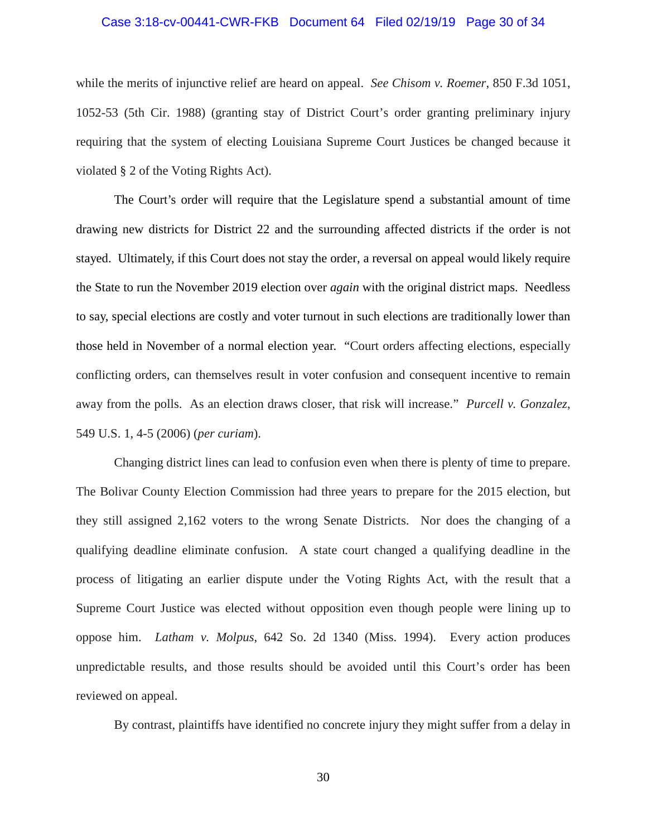#### Case 3:18-cv-00441-CWR-FKB Document 64 Filed 02/19/19 Page 30 of 34

while the merits of injunctive relief are heard on appeal. *See Chisom v. Roemer*, 850 F.3d 1051, 1052-53 (5th Cir. 1988) (granting stay of District Court's order granting preliminary injury requiring that the system of electing Louisiana Supreme Court Justices be changed because it violated § 2 of the Voting Rights Act).

The Court's order will require that the Legislature spend a substantial amount of time drawing new districts for District 22 and the surrounding affected districts if the order is not stayed. Ultimately, if this Court does not stay the order, a reversal on appeal would likely require the State to run the November 2019 election over *again* with the original district maps. Needless to say, special elections are costly and voter turnout in such elections are traditionally lower than those held in November of a normal election year. "Court orders affecting elections, especially conflicting orders, can themselves result in voter confusion and consequent incentive to remain away from the polls. As an election draws closer, that risk will increase." *Purcell v. Gonzalez*, 549 U.S. 1, 4-5 (2006) (*per curiam*).

Changing district lines can lead to confusion even when there is plenty of time to prepare. The Bolivar County Election Commission had three years to prepare for the 2015 election, but they still assigned 2,162 voters to the wrong Senate Districts. Nor does the changing of a qualifying deadline eliminate confusion. A state court changed a qualifying deadline in the process of litigating an earlier dispute under the Voting Rights Act, with the result that a Supreme Court Justice was elected without opposition even though people were lining up to oppose him. *Latham v. Molpus*, 642 So. 2d 1340 (Miss. 1994). Every action produces unpredictable results, and those results should be avoided until this Court's order has been reviewed on appeal.

By contrast, plaintiffs have identified no concrete injury they might suffer from a delay in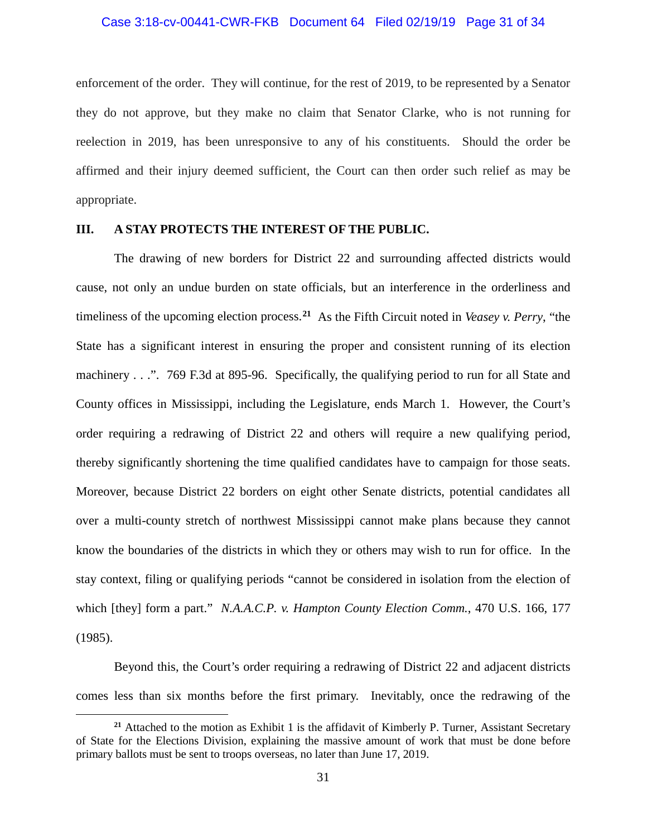#### Case 3:18-cv-00441-CWR-FKB Document 64 Filed 02/19/19 Page 31 of 34

enforcement of the order. They will continue, for the rest of 2019, to be represented by a Senator they do not approve, but they make no claim that Senator Clarke, who is not running for reelection in 2019, has been unresponsive to any of his constituents. Should the order be affirmed and their injury deemed sufficient, the Court can then order such relief as may be appropriate.

## **III. A STAY PROTECTS THE INTEREST OF THE PUBLIC.**

The drawing of new borders for District 22 and surrounding affected districts would cause, not only an undue burden on state officials, but an interference in the orderliness and timeliness of the upcoming election process.**[21](#page-32-0)** As the Fifth Circuit noted in *Veasey v. Perry*, "the State has a significant interest in ensuring the proper and consistent running of its election machinery . . .". 769 F.3d at 895-96. Specifically, the qualifying period to run for all State and County offices in Mississippi, including the Legislature, ends March 1. However, the Court's order requiring a redrawing of District 22 and others will require a new qualifying period, thereby significantly shortening the time qualified candidates have to campaign for those seats. Moreover, because District 22 borders on eight other Senate districts, potential candidates all over a multi-county stretch of northwest Mississippi cannot make plans because they cannot know the boundaries of the districts in which they or others may wish to run for office. In the stay context, filing or qualifying periods "cannot be considered in isolation from the election of which [they] form a part." *N.A.A.C.P. v. Hampton County Election Comm.*, 470 U.S. 166, 177 (1985).

Beyond this, the Court's order requiring a redrawing of District 22 and adjacent districts comes less than six months before the first primary. Inevitably, once the redrawing of the

<span id="page-32-0"></span><sup>&</sup>lt;sup>21</sup> Attached to the motion as Exhibit 1 is the affidavit of Kimberly P. Turner, Assistant Secretary of State for the Elections Division, explaining the massive amount of work that must be done before primary ballots must be sent to troops overseas, no later than June 17, 2019.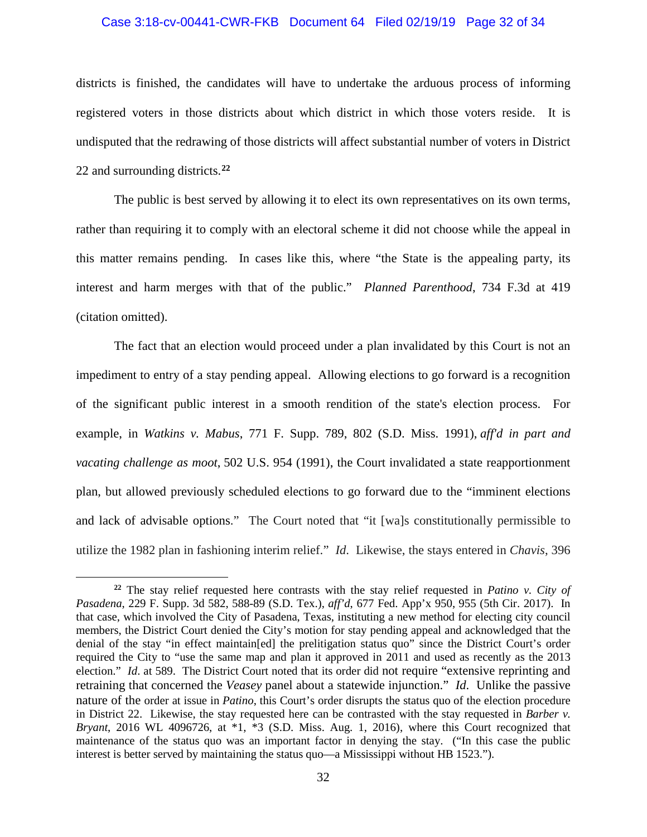#### Case 3:18-cv-00441-CWR-FKB Document 64 Filed 02/19/19 Page 32 of 34

districts is finished, the candidates will have to undertake the arduous process of informing registered voters in those districts about which district in which those voters reside. It is undisputed that the redrawing of those districts will affect substantial number of voters in District 22 and surrounding districts.**[22](#page-33-0)**

The public is best served by allowing it to elect its own representatives on its own terms, rather than requiring it to comply with an electoral scheme it did not choose while the appeal in this matter remains pending. In cases like this, where "the State is the appealing party, its interest and harm merges with that of the public." *Planned Parenthood*, 734 F.3d at 419 (citation omitted).

The fact that an election would proceed under a plan invalidated by this Court is not an impediment to entry of a stay pending appeal. Allowing elections to go forward is a recognition of the significant public interest in a smooth rendition of the state's election process. For example, in *Watkins v. Mabus*, 771 F. Supp. 789, 802 (S.D. Miss. 1991), *aff'd in part and vacating challenge as moot*, 502 U.S. 954 (1991), the Court invalidated a state reapportionment plan, but allowed previously scheduled elections to go forward due to the "imminent elections and lack of advisable options." The Court noted that "it [wa]s constitutionally permissible to utilize the 1982 plan in fashioning interim relief." *Id*. Likewise, the stays entered in *Chavis*, 396

<span id="page-33-0"></span>**<sup>22</sup>** The stay relief requested here contrasts with the stay relief requested in *Patino v. City of Pasadena*, 229 F. Supp. 3d 582, 588-89 (S.D. Tex.), *aff'd*, 677 Fed. App'x 950, 955 (5th Cir. 2017). In that case, which involved the City of Pasadena, Texas, instituting a new method for electing city council members, the District Court denied the City's motion for stay pending appeal and acknowledged that the denial of the stay "in effect maintain[ed] the prelitigation status quo" since the District Court's order required the City to "use the same map and plan it approved in 2011 and used as recently as the 2013 election." *Id*. at 589. The District Court noted that its order did not require "extensive reprinting and retraining that concerned the *Veasey* panel about a statewide injunction." *Id*. Unlike the passive nature of the order at issue in *Patino*, this Court's order disrupts the status quo of the election procedure in District 22. Likewise, the stay requested here can be contrasted with the stay requested in *Barber v. Bryant*, 2016 WL 4096726, at \*1, \*3 (S.D. Miss. Aug. 1, 2016), where this Court recognized that maintenance of the status quo was an important factor in denying the stay. ("In this case the public interest is better served by maintaining the status quo—a Mississippi without HB 1523.").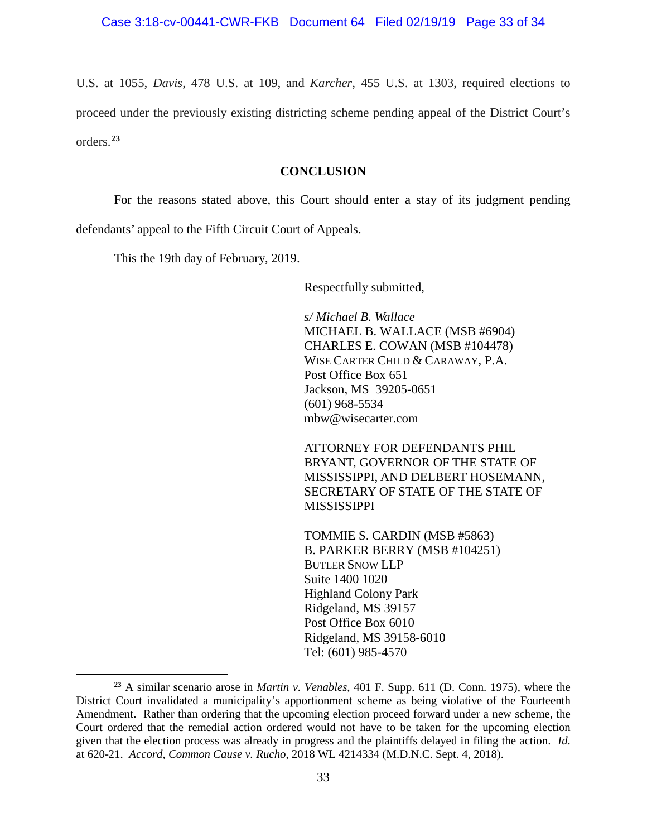U.S. at 1055, *Davis*, 478 U.S. at 109, and *Karcher*, 455 U.S. at 1303, required elections to proceed under the previously existing districting scheme pending appeal of the District Court's orders. **[23](#page-34-0)**

## **CONCLUSION**

For the reasons stated above, this Court should enter a stay of its judgment pending defendants' appeal to the Fifth Circuit Court of Appeals.

This the 19th day of February, 2019.

 $\overline{a}$ 

Respectfully submitted,

*s/ Michael B. Wallace* MICHAEL B. WALLACE (MSB #6904) CHARLES E. COWAN (MSB #104478) WISE CARTER CHILD & CARAWAY, P.A. Post Office Box 651 Jackson, MS 39205-0651 (601) 968-5534 [mbw@wisecarter.com](mailto:mbw@wisecarter.com)

ATTORNEY FOR DEFENDANTS PHIL BRYANT, GOVERNOR OF THE STATE OF MISSISSIPPI, AND DELBERT HOSEMANN, SECRETARY OF STATE OF THE STATE OF MISSISSIPPI

TOMMIE S. CARDIN (MSB #5863) B. PARKER BERRY (MSB #104251) BUTLER SNOW LLP Suite 1400 1020 Highland Colony Park Ridgeland, MS 39157 Post Office Box 6010 Ridgeland, MS 39158-6010 Tel: (601) 985-4570

<span id="page-34-0"></span>**<sup>23</sup>** A similar scenario arose in *Martin v. Venables*, 401 F. Supp. 611 (D. Conn. 1975), where the District Court invalidated a municipality's apportionment scheme as being violative of the Fourteenth Amendment. Rather than ordering that the upcoming election proceed forward under a new scheme, the Court ordered that the remedial action ordered would not have to be taken for the upcoming election given that the election process was already in progress and the plaintiffs delayed in filing the action. *Id*. at 620-21. *Accord*, *Common Cause v. Rucho*, 2018 WL 4214334 (M.D.N.C. Sept. 4, 2018).